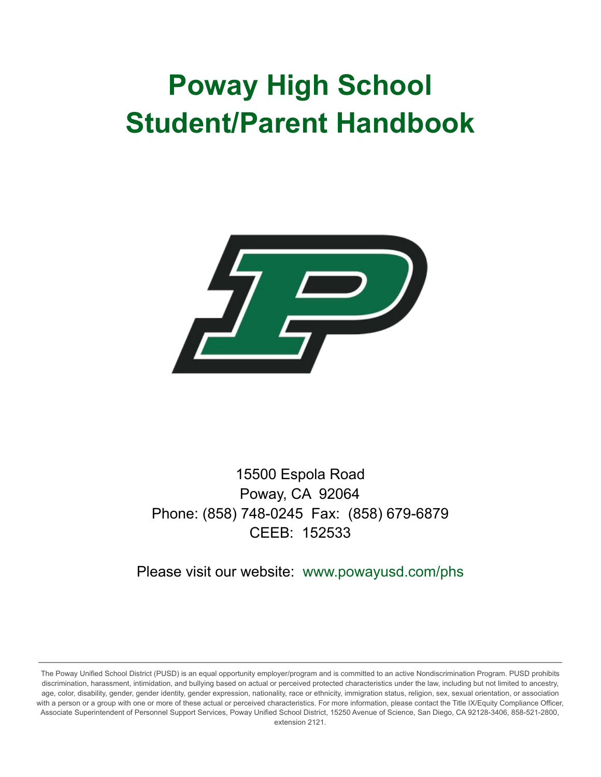# **Poway High School Student/Parent Handbook**



15500 Espola Road Poway, CA 92064 Phone: (858) 748-0245 Fax: (858) 679-6879 CEEB: 152533

Please visit our website: www.powayusd.com/phs

The Poway Unified School District (PUSD) is an equal opportunity employer/program and is committed to an active Nondiscrimination Program. PUSD prohibits discrimination, harassment, intimidation, and bullying based on actual or perceived protected characteristics under the law, including but not limited to ancestry, age, color, disability, gender, gender identity, gender expression, nationality, race or ethnicity, immigration status, religion, sex, sexual orientation, or association with a person or a group with one or more of these actual or perceived characteristics. For more information, please contact the Title IX/Equity Compliance Officer, Associate Superintendent of Personnel Support Services, Poway Unified School District, 15250 Avenue of Science, San Diego, CA 92128-3406, 858-521-2800, extension 2121.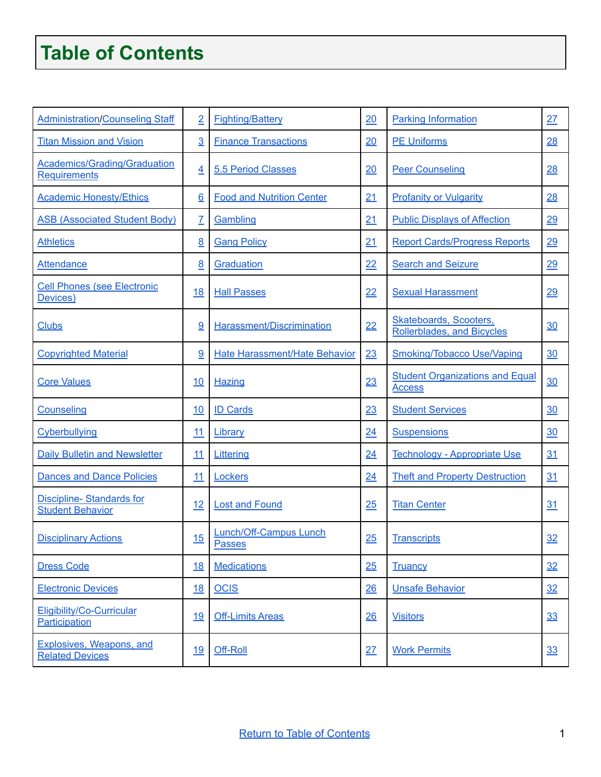# <span id="page-1-0"></span>**Table of Contents**

| <b>Administration/Counseling Staff</b>                     | $\overline{2}$  | <b>Fighting/Battery</b>                 | 20 | <b>Parking Information</b>                              | 27 |
|------------------------------------------------------------|-----------------|-----------------------------------------|----|---------------------------------------------------------|----|
| <b>Titan Mission and Vision</b>                            | $\overline{3}$  | <b>Finance Transactions</b>             | 20 | <b>PE Uniforms</b>                                      | 28 |
| <b>Academics/Grading/Graduation</b><br><b>Requirements</b> | $\overline{4}$  | 5.5 Period Classes                      | 20 | <b>Peer Counseling</b>                                  | 28 |
| <b>Academic Honesty/Ethics</b>                             | $6\overline{6}$ | <b>Food and Nutrition Center</b>        | 21 | <b>Profanity or Vulgarity</b>                           | 28 |
| <b>ASB (Associated Student Body)</b>                       | $\overline{I}$  | Gambling                                | 21 | <b>Public Displays of Affection</b>                     | 29 |
| <b>Athletics</b>                                           | 8               | <b>Gang Policy</b>                      | 21 | <b>Report Cards/Progress Reports</b>                    | 29 |
| <b>Attendance</b>                                          | 8               | Graduation                              | 22 | <b>Search and Seizure</b>                               | 29 |
| <b>Cell Phones (see Electronic</b><br>Devices)             | 18              | <b>Hall Passes</b>                      | 22 | <b>Sexual Harassment</b>                                | 29 |
| <b>Clubs</b>                                               | 9               | Harassment/Discrimination               | 22 | Skateboards, Scooters,<br>Rollerblades, and Bicycles    | 30 |
| <b>Copyrighted Material</b>                                | 9               | <b>Hate Harassment/Hate Behavior</b>    | 23 | <b>Smoking/Tobacco Use/Vaping</b>                       | 30 |
| <b>Core Values</b>                                         | 10              | <b>Hazing</b>                           | 23 | <b>Student Organizations and Equal</b><br><b>Access</b> | 30 |
| Counseling                                                 | 10              | <b>ID Cards</b>                         | 23 | <b>Student Services</b>                                 | 30 |
| Cyberbullying                                              | 11              | Library                                 | 24 | <b>Suspensions</b>                                      | 30 |
| <b>Daily Bulletin and Newsletter</b>                       | 11              | Littering                               | 24 | Technology - Appropriate Use                            | 31 |
| <b>Dances and Dance Policies</b>                           | 11              | Lockers                                 | 24 | <b>Theft and Property Destruction</b>                   | 31 |
| <b>Discipline-Standards for</b><br><b>Student Behavior</b> | 12              | <b>Lost and Found</b>                   | 25 | <b>Titan Center</b>                                     | 31 |
| <b>Disciplinary Actions</b>                                | 15              | Lunch/Off-Campus Lunch<br><b>Passes</b> | 25 | <b>Transcripts</b>                                      | 32 |
| <b>Dress Code</b>                                          | <u>18</u>       | <b>Medications</b>                      | 25 | <b>Truancy</b>                                          | 32 |
| <b>Electronic Devices</b>                                  | <u>18</u>       | <b>OCIS</b>                             | 26 | <b>Unsafe Behavior</b>                                  | 32 |
| Eligibility/Co-Curricular<br>Participation                 | 19              | <b>Off-Limits Areas</b>                 | 26 | <b>Visitors</b>                                         | 33 |
| Explosives, Weapons, and<br><b>Related Devices</b>         | 19              | Off-Roll                                | 27 | <b>Work Permits</b>                                     | 33 |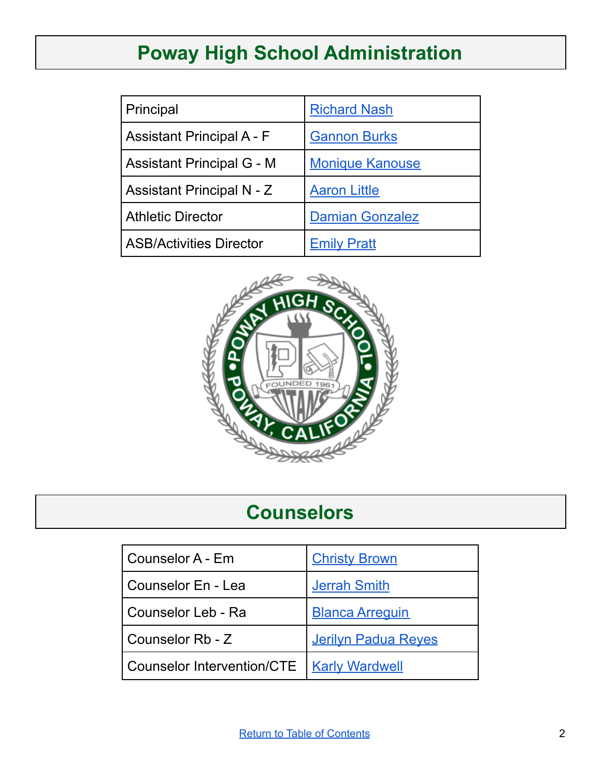# **Poway High School Administration**

<span id="page-2-0"></span>

| Principal                        | <b>Richard Nash</b>    |
|----------------------------------|------------------------|
| <b>Assistant Principal A - F</b> | <b>Gannon Burks</b>    |
| <b>Assistant Principal G - M</b> | <b>Monique Kanouse</b> |
| Assistant Principal N - Z        | <b>Aaron Little</b>    |
| <b>Athletic Director</b>         | <b>Damian Gonzalez</b> |
| <b>ASB/Activities Director</b>   | <b>Emily Pratt</b>     |



# **Counselors**

<span id="page-2-1"></span>

| Counselor A - Em                            | <b>Christy Brown</b>       |
|---------------------------------------------|----------------------------|
| Counselor En - Lea                          | <b>Jerrah Smith</b>        |
| Counselor Leb - Ra                          | <b>Blanca Arrequin</b>     |
| Counselor Rb - Z                            | <b>Jerilyn Padua Reyes</b> |
| Counselor Intervention/CTE   Karly Wardwell |                            |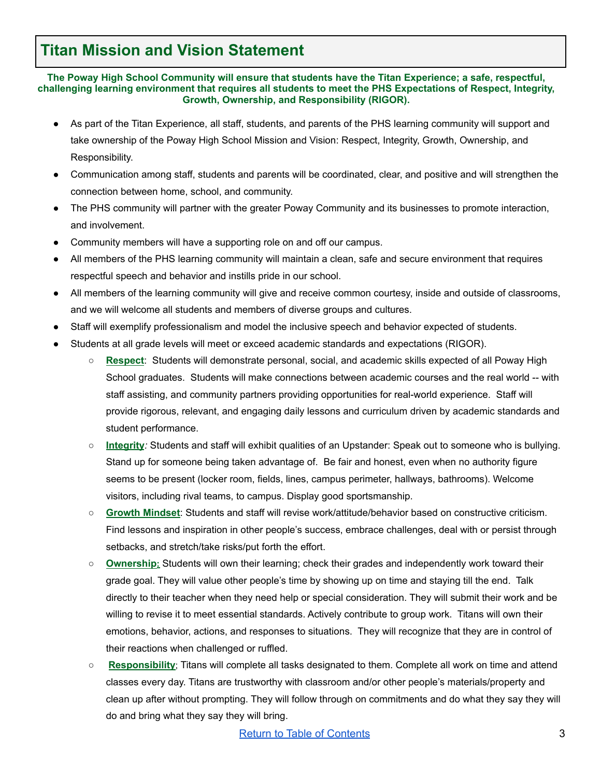### <span id="page-3-0"></span>**Titan Mission and Vision Statement**

**The Poway High School Community will ensure that students have the Titan Experience; a safe, respectful, challenging learning environment that requires all students to meet the PHS Expectations of Respect, Integrity, Growth, Ownership, and Responsibility (RIGOR).**

- As part of the Titan Experience, all staff, students, and parents of the PHS learning community will support and take ownership of the Poway High School Mission and Vision: Respect, Integrity, Growth, Ownership, and Responsibility.
- Communication among staff, students and parents will be coordinated, clear, and positive and will strengthen the connection between home, school, and community.
- The PHS community will partner with the greater Poway Community and its businesses to promote interaction, and involvement.
- Community members will have a supporting role on and off our campus.
- All members of the PHS learning community will maintain a clean, safe and secure environment that requires respectful speech and behavior and instills pride in our school.
- All members of the learning community will give and receive common courtesy, inside and outside of classrooms, and we will welcome all students and members of diverse groups and cultures.
- Staff will exemplify professionalism and model the inclusive speech and behavior expected of students.
- Students at all grade levels will meet or exceed academic standards and expectations (RIGOR).
	- **Respect**: Students will demonstrate personal, social, and academic skills expected of all Poway High School graduates. Students will make connections between academic courses and the real world -- with staff assisting, and community partners providing opportunities for real-world experience. Staff will provide rigorous, relevant, and engaging daily lessons and curriculum driven by academic standards and student performance.
	- **Integrity***:* Students and staff will exhibit qualities of an Upstander: Speak out to someone who is bullying. Stand up for someone being taken advantage of. Be fair and honest, even when no authority figure seems to be present (locker room, fields, lines, campus perimeter, hallways, bathrooms). Welcome visitors, including rival teams, to campus. Display good sportsmanship.
	- **Growth Mindset**: Students and staff will revise work/attitude/behavior based on constructive criticism. Find lessons and inspiration in other people's success, embrace challenges, deal with or persist through setbacks, and stretch/take risks/put forth the effort.
	- **Ownership:** Students will own their learning; check their grades and independently work toward their grade goal. They will value other people's time by showing up on time and staying till the end. Talk directly to their teacher when they need help or special consideration. They will submit their work and be willing to revise it to meet essential standards. Actively contribute to group work. Titans will own their emotions, behavior, actions, and responses to situations. They will recognize that they are in control of their reactions when challenged or ruffled.
	- **Responsibility**; Titans will *c*omplete all tasks designated to them. Complete all work on time and attend classes every day. Titans are trustworthy with classroom and/or other people's materials/property and clean up after without prompting. They will follow through on commitments and do what they say they will do and bring what they say they will bring.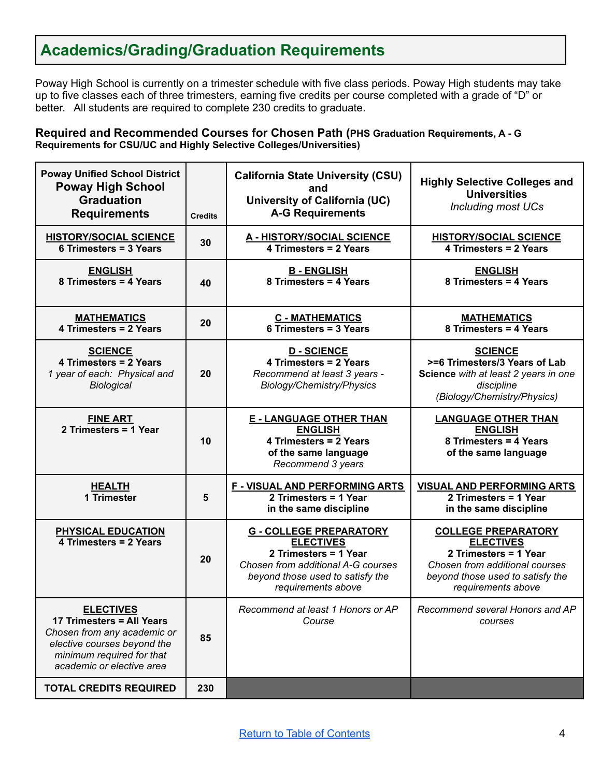# <span id="page-4-0"></span>**Academics/Grading/Graduation Requirements**

Poway High School is currently on a trimester schedule with five class periods. Poway High students may take up to five classes each of three trimesters, earning five credits per course completed with a grade of "D" or better. All students are required to complete 230 credits to graduate.

**Required and Recommended Courses for Chosen Path (PHS Graduation Requirements, A - G Requirements for CSU/UC and Highly Selective Colleges/Universities)**

| <b>Poway Unified School District</b><br><b>Poway High School</b><br><b>Graduation</b><br><b>Requirements</b>                                                          | <b>Credits</b> | <b>California State University (CSU)</b><br>and<br>University of California (UC)<br><b>A-G Requirements</b>                                                                 | <b>Highly Selective Colleges and</b><br><b>Universities</b><br><b>Including most UCs</b>                                                                            |
|-----------------------------------------------------------------------------------------------------------------------------------------------------------------------|----------------|-----------------------------------------------------------------------------------------------------------------------------------------------------------------------------|---------------------------------------------------------------------------------------------------------------------------------------------------------------------|
| <b>HISTORY/SOCIAL SCIENCE</b><br>6 Trimesters = 3 Years                                                                                                               | 30             | <b>A - HISTORY/SOCIAL SCIENCE</b><br>4 Trimesters = 2 Years                                                                                                                 | <b>HISTORY/SOCIAL SCIENCE</b><br>4 Trimesters = 2 Years                                                                                                             |
| <b>ENGLISH</b><br>8 Trimesters = 4 Years                                                                                                                              | 40             | <b>B-ENGLISH</b><br>8 Trimesters = 4 Years                                                                                                                                  | <b>ENGLISH</b><br>8 Trimesters = 4 Years                                                                                                                            |
| <b>MATHEMATICS</b><br>4 Trimesters = 2 Years                                                                                                                          | 20             | <b>C - MATHEMATICS</b><br>6 Trimesters = 3 Years                                                                                                                            | <b>MATHEMATICS</b><br>8 Trimesters = 4 Years                                                                                                                        |
| <b>SCIENCE</b><br>4 Trimesters = 2 Years<br>1 year of each: Physical and<br>Biological                                                                                | 20             | <b>D-SCIENCE</b><br>4 Trimesters = 2 Years<br>Recommend at least 3 years -<br>Biology/Chemistry/Physics                                                                     | <b>SCIENCE</b><br>>=6 Trimesters/3 Years of Lab<br>Science with at least 2 years in one<br>discipline<br>(Biology/Chemistry/Physics)                                |
| <b>FINE ART</b><br>2 Trimesters = 1 Year                                                                                                                              | 10             | <b>E - LANGUAGE OTHER THAN</b><br><b>ENGLISH</b><br>4 Trimesters = 2 Years<br>of the same language<br>Recommend 3 years                                                     | <b>LANGUAGE OTHER THAN</b><br><b>ENGLISH</b><br>8 Trimesters = 4 Years<br>of the same language                                                                      |
| <b>HEALTH</b><br>1 Trimester                                                                                                                                          | 5              | <b>F - VISUAL AND PERFORMING ARTS</b><br>2 Trimesters = 1 Year<br>in the same discipline                                                                                    | <b>VISUAL AND PERFORMING ARTS</b><br>2 Trimesters = 1 Year<br>in the same discipline                                                                                |
| PHYSICAL EDUCATION<br>4 Trimesters = 2 Years                                                                                                                          | 20             | <b>G - COLLEGE PREPARATORY</b><br><b>ELECTIVES</b><br>2 Trimesters = 1 Year<br>Chosen from additional A-G courses<br>beyond those used to satisfy the<br>requirements above | <b>COLLEGE PREPARATORY</b><br><b>ELECTIVES</b><br>2 Trimesters = 1 Year<br>Chosen from additional courses<br>beyond those used to satisfy the<br>requirements above |
| <b>ELECTIVES</b><br>17 Trimesters = All Years<br>Chosen from any academic or<br>elective courses beyond the<br>minimum required for that<br>academic or elective area | 85             | Recommend at least 1 Honors or AP<br>Course                                                                                                                                 | Recommend several Honors and AP<br>courses                                                                                                                          |
| <b>TOTAL CREDITS REQUIRED</b>                                                                                                                                         | 230            |                                                                                                                                                                             |                                                                                                                                                                     |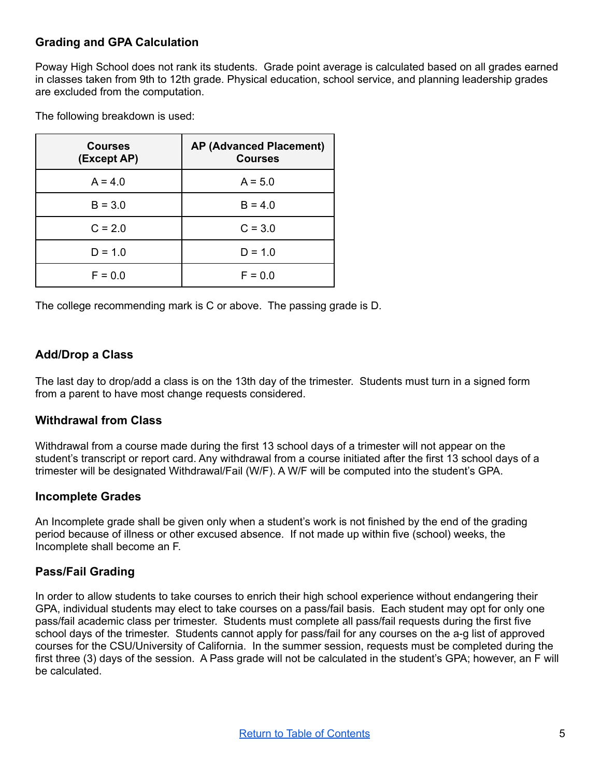### **Grading and GPA Calculation**

Poway High School does not rank its students. Grade point average is calculated based on all grades earned in classes taken from 9th to 12th grade. Physical education, school service, and planning leadership grades are excluded from the computation.

The following breakdown is used:

| <b>Courses</b><br>(Except AP) | <b>AP (Advanced Placement)</b><br><b>Courses</b> |
|-------------------------------|--------------------------------------------------|
| $A = 4.0$                     | $A = 5.0$                                        |
| $B = 3.0$                     | $B = 4.0$                                        |
| $C = 2.0$                     | $C = 3.0$                                        |
| $D = 1.0$                     | $D = 1.0$                                        |
| $F = 0.0$                     | $F = 0.0$                                        |

The college recommending mark is C or above. The passing grade is D.

### **Add/Drop a Class**

The last day to drop/add a class is on the 13th day of the trimester. Students must turn in a signed form from a parent to have most change requests considered.

### **Withdrawal from Class**

Withdrawal from a course made during the first 13 school days of a trimester will not appear on the student's transcript or report card. Any withdrawal from a course initiated after the first 13 school days of a trimester will be designated Withdrawal/Fail (W/F). A W/F will be computed into the student's GPA.

#### **Incomplete Grades**

An Incomplete grade shall be given only when a student's work is not finished by the end of the grading period because of illness or other excused absence. If not made up within five (school) weeks, the Incomplete shall become an F.

### **Pass/Fail Grading**

In order to allow students to take courses to enrich their high school experience without endangering their GPA, individual students may elect to take courses on a pass/fail basis. Each student may opt for only one pass/fail academic class per trimester. Students must complete all pass/fail requests during the first five school days of the trimester. Students cannot apply for pass/fail for any courses on the a-g list of approved courses for the CSU/University of California. In the summer session, requests must be completed during the first three (3) days of the session. A Pass grade will not be calculated in the student's GPA; however, an F will be calculated.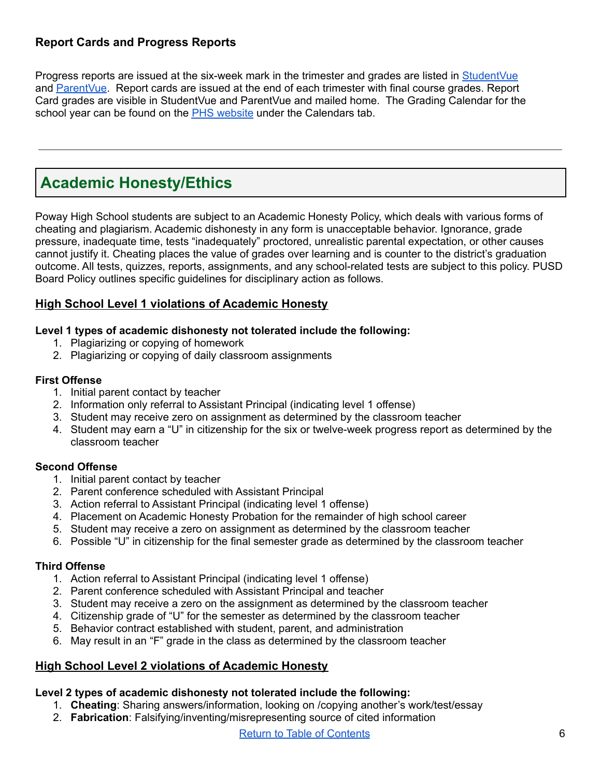### **Report Cards and Progress Reports**

Progress reports are issued at the six-week mark in the trimester and grades are listed in [StudentVue](https://sis.powayusd.com/PXP2_Login_Student.aspx?regenerateSessionId=True) and [ParentVue.](https://sis.powayusd.com/PXP2_Login.aspx) Report cards are issued at the end of each trimester with final course grades. Report Card grades are visible in StudentVue and ParentVue and mailed home. The Grading Calendar for the school year can be found on the PHS [website](https://www.powayusd.com/en-US/Schools/HS/PHS/Home) under the Calendars tab.

# <span id="page-6-0"></span>**Academic Honesty/Ethics**

Poway High School students are subject to an Academic Honesty Policy, which deals with various forms of cheating and plagiarism. Academic dishonesty in any form is unacceptable behavior. Ignorance, grade pressure, inadequate time, tests "inadequately" proctored, unrealistic parental expectation, or other causes cannot justify it. Cheating places the value of grades over learning and is counter to the district's graduation outcome. All tests, quizzes, reports, assignments, and any school-related tests are subject to this policy. PUSD Board Policy outlines specific guidelines for disciplinary action as follows.

### **High School Level 1 violations of Academic Honesty**

#### **Level 1 types of academic dishonesty not tolerated include the following:**

- 1. Plagiarizing or copying of homework
- 2. Plagiarizing or copying of daily classroom assignments

#### **First Offense**

- 1. Initial parent contact by teacher
- 2. Information only referral to Assistant Principal (indicating level 1 offense)
- 3. Student may receive zero on assignment as determined by the classroom teacher
- 4. Student may earn a "U" in citizenship for the six or twelve-week progress report as determined by the classroom teacher

### **Second Offense**

- 1. Initial parent contact by teacher
- 2. Parent conference scheduled with Assistant Principal
- 3. Action referral to Assistant Principal (indicating level 1 offense)
- 4. Placement on Academic Honesty Probation for the remainder of high school career
- 5. Student may receive a zero on assignment as determined by the classroom teacher
- 6. Possible "U" in citizenship for the final semester grade as determined by the classroom teacher

### **Third Offense**

- 1. Action referral to Assistant Principal (indicating level 1 offense)
- 2. Parent conference scheduled with Assistant Principal and teacher
- 3. Student may receive a zero on the assignment as determined by the classroom teacher
- 4. Citizenship grade of "U" for the semester as determined by the classroom teacher
- 5. Behavior contract established with student, parent, and administration
- 6. May result in an "F" grade in the class as determined by the classroom teacher

### **High School Level 2 violations of Academic Honesty**

### **Level 2 types of academic dishonesty not tolerated include the following:**

- 1. **Cheating**: Sharing answers/information, looking on /copying another's work/test/essay
- 2. **Fabrication**: Falsifying/inventing/misrepresenting source of cited information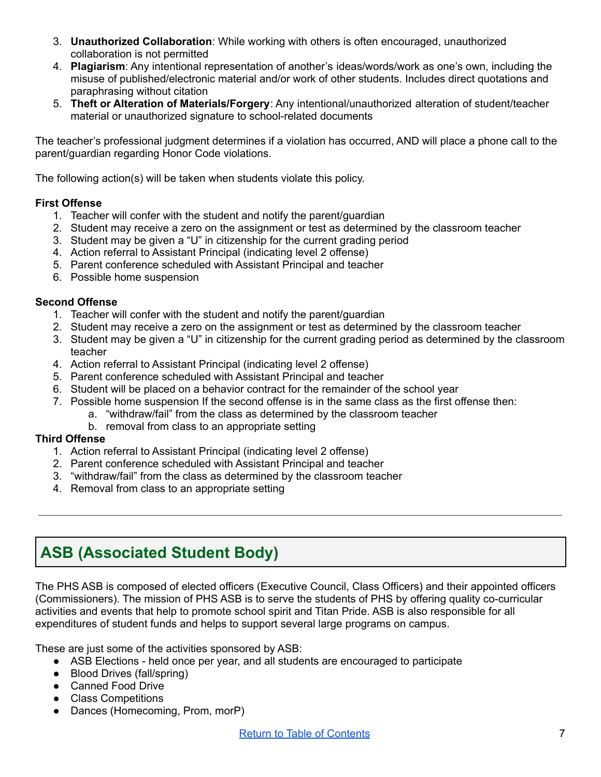- 3. **Unauthorized Collaboration**: While working with others is often encouraged, unauthorized collaboration is not permitted
- 4. **Plagiarism**: Any intentional representation of another's ideas/words/work as one's own, including the misuse of published/electronic material and/or work of other students. Includes direct quotations and paraphrasing without citation
- 5. **Theft or Alteration of Materials/Forgery**: Any intentional/unauthorized alteration of student/teacher material or unauthorized signature to school-related documents

The teacher's professional judgment determines if a violation has occurred, AND will place a phone call to the parent/guardian regarding Honor Code violations.

The following action(s) will be taken when students violate this policy.

#### **First Offense**

- 1. Teacher will confer with the student and notify the parent/guardian
- 2. Student may receive a zero on the assignment or test as determined by the classroom teacher
- 3. Student may be given a "U" in citizenship for the current grading period
- 4. Action referral to Assistant Principal (indicating level 2 offense)
- 5. Parent conference scheduled with Assistant Principal and teacher
- 6. Possible home suspension

#### **Second Offense**

- 1. Teacher will confer with the student and notify the parent/guardian
- 2. Student may receive a zero on the assignment or test as determined by the classroom teacher
- 3. Student may be given a "U" in citizenship for the current grading period as determined by the classroom teacher
- 4. Action referral to Assistant Principal (indicating level 2 offense)
- 5. Parent conference scheduled with Assistant Principal and teacher
- 6. Student will be placed on a behavior contract for the remainder of the school year
- 7. Possible home suspension If the second offense is in the same class as the first offense then:
	- a. "withdraw/fail" from the class as determined by the classroom teacher
		- b. removal from class to an appropriate setting

#### **Third Offense**

- 1. Action referral to Assistant Principal (indicating level 2 offense)
- 2. Parent conference scheduled with Assistant Principal and teacher
- 3. "withdraw/fail" from the class as determined by the classroom teacher
- 4. Removal from class to an appropriate setting

### <span id="page-7-0"></span>**ASB (Associated Student Body)**

The PHS ASB is composed of elected officers (Executive Council, Class Officers) and their appointed officers (Commissioners). The mission of PHS ASB is to serve the students of PHS by offering quality co-curricular activities and events that help to promote school spirit and Titan Pride. ASB is also responsible for all expenditures of student funds and helps to support several large programs on campus.

These are just some of the activities sponsored by ASB:

- ASB Elections held once per year, and all students are encouraged to participate
- Blood Drives (fall/spring)
- Canned Food Drive
- Class Competitions
- Dances (Homecoming, Prom, morP)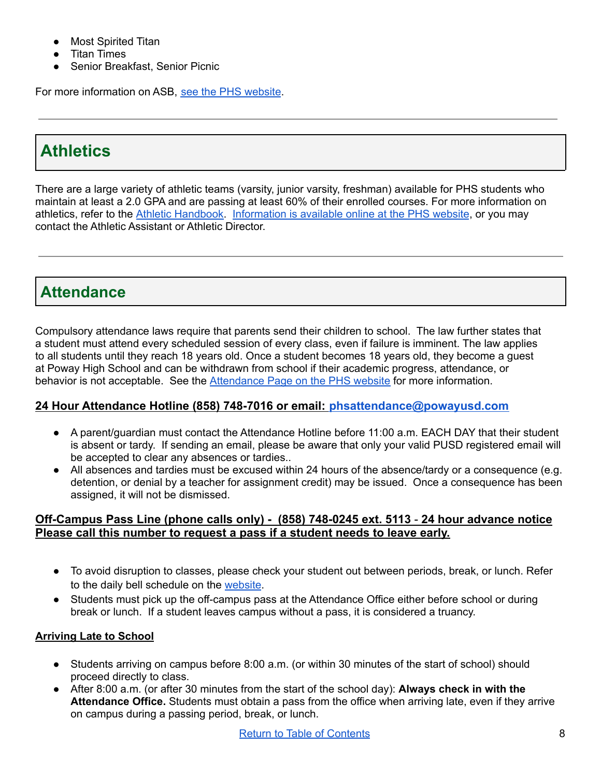- **Most Spirited Titan**
- **Titan Times**
- Senior Breakfast, Senior Picnic

For more information on ASB, see the PHS [website](https://www.powayusd.com/en-US/Schools/HS/PHS/Students/ASB).

# <span id="page-8-0"></span>**Athletics**

There are a large variety of athletic teams (varsity, junior varsity, freshman) available for PHS students who maintain at least a 2.0 GPA and are passing at least 60% of their enrolled courses. For more information on athletics, refer to the Athletic [Handbook.](https://www.powayusd.com/en-US/Schools/HS/PHS/Athletics/Athletic-Handbook) [Information](https://www.powayusd.com/en-US/Schools/HS/PHS/Athletics/Athletics-Home) is available online at the PHS website, or you may contact the Athletic Assistant or Athletic Director.

# <span id="page-8-1"></span>**Attendance**

Compulsory attendance laws require that parents send their children to school. The law further states that a student must attend every scheduled session of every class, even if failure is imminent. The law applies to all students until they reach 18 years old. Once a student becomes 18 years old, they become a guest at Poway High School and can be withdrawn from school if their academic progress, attendance, or behavior is not acceptable. See the [Attendance](https://www.powayusd.com/en-US/Schools/HS/PHS/Contacts/Attendance/Attendance) Page on the PHS website for more information.

### **24 Hour Attendance Hotline (858) 748-7016 or email: [phsattendance@powayusd.com](mailto:phsattendance@powayusd.com)**

- A parent/guardian must contact the Attendance Hotline before 11:00 a.m. EACH DAY that their student is absent or tardy. If sending an email, please be aware that only your valid PUSD registered email will be accepted to clear any absences or tardies..
- All absences and tardies must be excused within 24 hours of the absence/tardy or a consequence (e.g. detention, or denial by a teacher for assignment credit) may be issued. Once a consequence has been assigned, it will not be dismissed.

### **Off-Campus Pass Line (phone calls only) - (858) 748-0245 ext. 5113** - **24 hour advance notice Please call this number to request a pass if a student needs to leave early.**

- To avoid disruption to classes, please check your student out between periods, break, or lunch. Refer to the daily bell schedule on the [website](https://www.powayusd.com/en-US/Schools/HS/PHS/Calendars/Schedules/Bell-Schedule).
- Students must pick up the off-campus pass at the Attendance Office either before school or during break or lunch. If a student leaves campus without a pass, it is considered a truancy.

### **Arriving Late to School**

- Students arriving on campus before 8:00 a.m. (or within 30 minutes of the start of school) should proceed directly to class.
- After 8:00 a.m. (or after 30 minutes from the start of the school day): **Always check in with the Attendance Office.** Students must obtain a pass from the office when arriving late, even if they arrive on campus during a passing period, break, or lunch.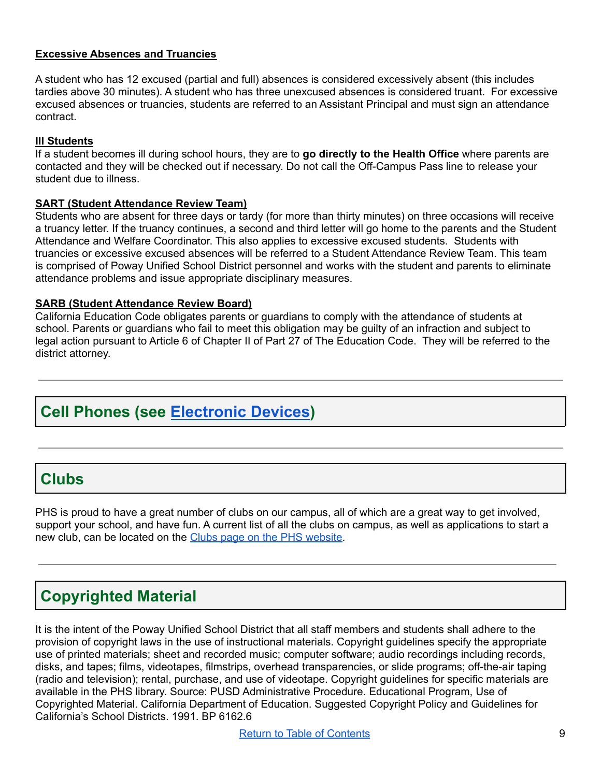#### **Excessive Absences and Truancies**

A student who has 12 excused (partial and full) absences is considered excessively absent (this includes tardies above 30 minutes). A student who has three unexcused absences is considered truant. For excessive excused absences or truancies, students are referred to an Assistant Principal and must sign an attendance contract.

#### **Ill Students**

If a student becomes ill during school hours, they are to **go directly to the Health Office** where parents are contacted and they will be checked out if necessary. Do not call the Off-Campus Pass line to release your student due to illness.

#### **SART (Student Attendance Review Team)**

Students who are absent for three days or tardy (for more than thirty minutes) on three occasions will receive a truancy letter. If the truancy continues, a second and third letter will go home to the parents and the Student Attendance and Welfare Coordinator. This also applies to excessive excused students. Students with truancies or excessive excused absences will be referred to a Student Attendance Review Team. This team is comprised of Poway Unified School District personnel and works with the student and parents to eliminate attendance problems and issue appropriate disciplinary measures.

#### **SARB (Student Attendance Review Board)**

California Education Code obligates parents or guardians to comply with the attendance of students at school. Parents or guardians who fail to meet this obligation may be guilty of an infraction and subject to legal action pursuant to Article 6 of Chapter II of Part 27 of The Education Code. They will be referred to the district attorney.

# **Cell Phones (see [Electronic](#page-18-0) Devices)**

### <span id="page-9-0"></span>**Clubs**

PHS is proud to have a great number of clubs on our campus, all of which are a great way to get involved, support your school, and have fun. A current list of all the clubs on campus, as well as applications to start a new club, can be located on the Clubs page on the PHS [website.](https://www.powayusd.com/en-US/Schools/HS/PHS/Students/Activities/Clubs)

### <span id="page-9-1"></span>**Copyrighted Material**

It is the intent of the Poway Unified School District that all staff members and students shall adhere to the provision of copyright laws in the use of instructional materials. Copyright guidelines specify the appropriate use of printed materials; sheet and recorded music; computer software; audio recordings including records, disks, and tapes; films, videotapes, filmstrips, overhead transparencies, or slide programs; off-the-air taping (radio and television); rental, purchase, and use of videotape. Copyright guidelines for specific materials are available in the PHS library. Source: PUSD Administrative Procedure. Educational Program, Use of Copyrighted Material. California Department of Education. Suggested Copyright Policy and Guidelines for California's School Districts. 1991. BP 6162.6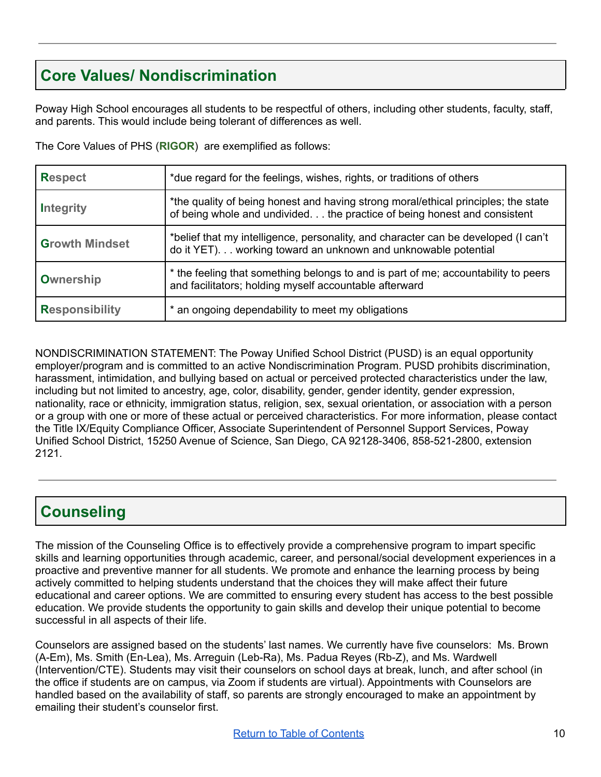# <span id="page-10-0"></span>**Core Values/ Nondiscrimination**

Poway High School encourages all students to be respectful of others, including other students, faculty, staff, and parents. This would include being tolerant of differences as well.

The Core Values of PHS (**RIGOR**) are exemplified as follows:

| <b>Respect</b>        | *due regard for the feelings, wishes, rights, or traditions of others                                                                                          |
|-----------------------|----------------------------------------------------------------------------------------------------------------------------------------------------------------|
| Integrity             | *the quality of being honest and having strong moral/ethical principles; the state<br>of being whole and undivided the practice of being honest and consistent |
| <b>Growth Mindset</b> | *belief that my intelligence, personality, and character can be developed (I can't<br>do it YET). working toward an unknown and unknowable potential           |
| <b>Ownership</b>      | * the feeling that something belongs to and is part of me; accountability to peers<br>and facilitators; holding myself accountable afterward                   |
| <b>Responsibility</b> | * an ongoing dependability to meet my obligations                                                                                                              |

NONDISCRIMINATION STATEMENT: The Poway Unified School District (PUSD) is an equal opportunity employer/program and is committed to an active Nondiscrimination Program. PUSD prohibits discrimination, harassment, intimidation, and bullying based on actual or perceived protected characteristics under the law, including but not limited to ancestry, age, color, disability, gender, gender identity, gender expression, nationality, race or ethnicity, immigration status, religion, sex, sexual orientation, or association with a person or a group with one or more of these actual or perceived characteristics. For more information, please contact the Title IX/Equity Compliance Officer, Associate Superintendent of Personnel Support Services, Poway Unified School District, 15250 Avenue of Science, San Diego, CA 92128-3406, 858-521-2800, extension 2121.

### <span id="page-10-1"></span>**Counseling**

The mission of the Counseling Office is to effectively provide a comprehensive program to impart specific skills and learning opportunities through academic, career, and personal/social development experiences in a proactive and preventive manner for all students. We promote and enhance the learning process by being actively committed to helping students understand that the choices they will make affect their future educational and career options. We are committed to ensuring every student has access to the best possible education. We provide students the opportunity to gain skills and develop their unique potential to become successful in all aspects of their life.

Counselors are assigned based on the students' last names. We currently have five counselors: Ms. Brown (A-Em), Ms. Smith (En-Lea), Ms. Arreguin (Leb-Ra), Ms. Padua Reyes (Rb-Z), and Ms. Wardwell (Intervention/CTE). Students may visit their counselors on school days at break, lunch, and after school (in the office if students are on campus, via Zoom if students are virtual). Appointments with Counselors are handled based on the availability of staff, so parents are strongly encouraged to make an appointment by emailing their student's counselor first.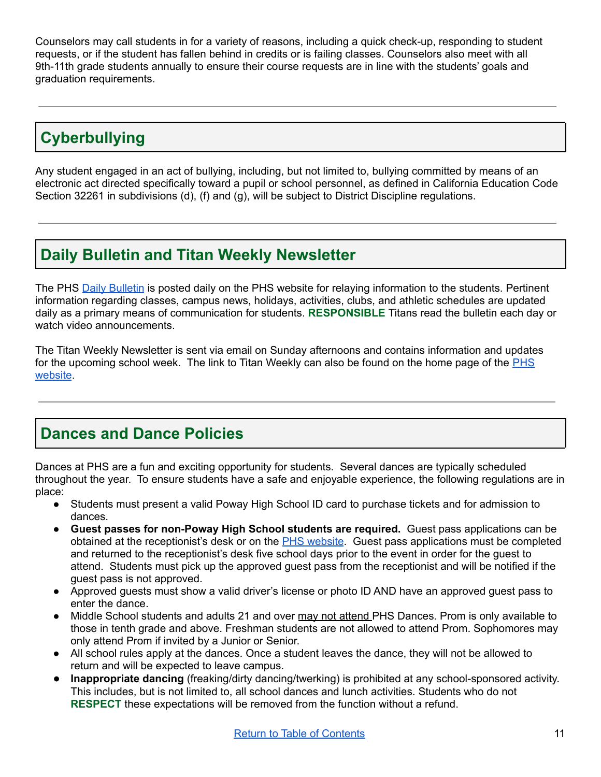Counselors may call students in for a variety of reasons, including a quick check-up, responding to student requests, or if the student has fallen behind in credits or is failing classes. Counselors also meet with all 9th-11th grade students annually to ensure their course requests are in line with the students' goals and graduation requirements.

# <span id="page-11-0"></span>**Cyberbullying**

Any student engaged in an act of bullying, including, but not limited to, bullying committed by means of an electronic act directed specifically toward a pupil or school personnel, as defined in California Education Code Section 32261 in subdivisions (d), (f) and (g), will be subject to District Discipline regulations.

### <span id="page-11-1"></span>**Daily Bulletin and Titan Weekly Newsletter**

The PHS Daily [Bulletin](https://www.powayusd.com/en-US/Schools/HS/PHS/Campus-Info/Communications/Daily-Bulletin) is posted daily on the PHS website for relaying information to the students. Pertinent information regarding classes, campus news, holidays, activities, clubs, and athletic schedules are updated daily as a primary means of communication for students. **RESPONSIBLE** Titans read the bulletin each day or watch video announcements.

The Titan Weekly Newsletter is sent via email on Sunday afternoons and contains information and updates for the upcoming school week. The link to Titan Weekly can also be found on the home page of the [PHS](https://www.powayusd.com/en-US/Schools/HS/PHS/Home) [website](https://www.powayusd.com/en-US/Schools/HS/PHS/Home).

### <span id="page-11-2"></span>**Dances and Dance Policies**

Dances at PHS are a fun and exciting opportunity for students. Several dances are typically scheduled throughout the year. To ensure students have a safe and enjoyable experience, the following regulations are in place:

- Students must present a valid Poway High School ID card to purchase tickets and for admission to dances.
- **Guest passes for non-Poway High School students are required.** Guest pass applications can be obtained at the receptionist's desk or on the PHS [website](https://www.powayusd.com/en-US/Schools/HS/PHS/Students/Application-for-Dance-Event-Guest-Pass). Guest pass applications must be completed and returned to the receptionist's desk five school days prior to the event in order for the guest to attend. Students must pick up the approved guest pass from the receptionist and will be notified if the guest pass is not approved.
- Approved quests must show a valid driver's license or photo ID AND have an approved quest pass to enter the dance.
- Middle School students and adults 21 and over may not attend PHS Dances. Prom is only available to those in tenth grade and above. Freshman students are not allowed to attend Prom. Sophomores may only attend Prom if invited by a Junior or Senior.
- All school rules apply at the dances. Once a student leaves the dance, they will not be allowed to return and will be expected to leave campus.
- **Inappropriate dancing** (freaking/dirty dancing/twerking) is prohibited at any school-sponsored activity. This includes, but is not limited to, all school dances and lunch activities. Students who do not **RESPECT** these expectations will be removed from the function without a refund.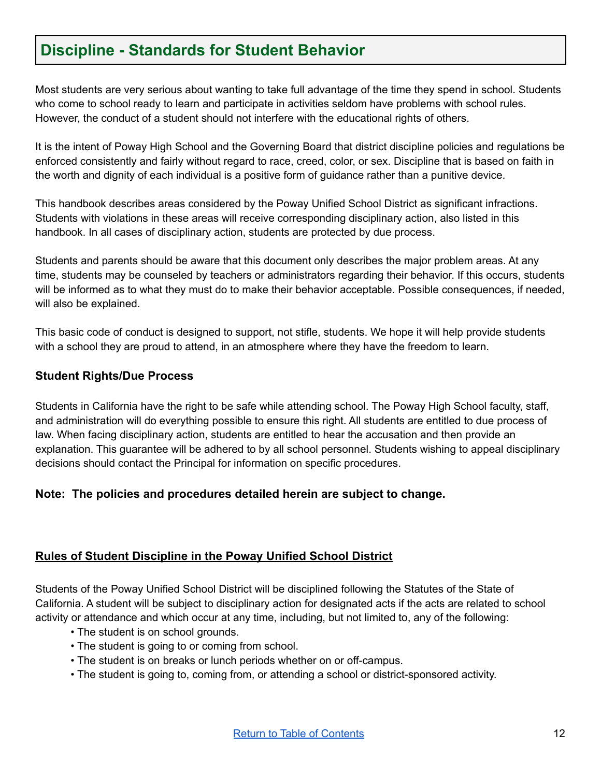### <span id="page-12-0"></span>**Discipline - Standards for Student Behavior**

Most students are very serious about wanting to take full advantage of the time they spend in school. Students who come to school ready to learn and participate in activities seldom have problems with school rules. However, the conduct of a student should not interfere with the educational rights of others.

It is the intent of Poway High School and the Governing Board that district discipline policies and regulations be enforced consistently and fairly without regard to race, creed, color, or sex. Discipline that is based on faith in the worth and dignity of each individual is a positive form of guidance rather than a punitive device.

This handbook describes areas considered by the Poway Unified School District as significant infractions. Students with violations in these areas will receive corresponding disciplinary action, also listed in this handbook. In all cases of disciplinary action, students are protected by due process.

Students and parents should be aware that this document only describes the major problem areas. At any time, students may be counseled by teachers or administrators regarding their behavior. If this occurs, students will be informed as to what they must do to make their behavior acceptable. Possible consequences, if needed, will also be explained.

This basic code of conduct is designed to support, not stifle, students. We hope it will help provide students with a school they are proud to attend, in an atmosphere where they have the freedom to learn.

### **Student Rights/Due Process**

Students in California have the right to be safe while attending school. The Poway High School faculty, staff, and administration will do everything possible to ensure this right. All students are entitled to due process of law. When facing disciplinary action, students are entitled to hear the accusation and then provide an explanation. This guarantee will be adhered to by all school personnel. Students wishing to appeal disciplinary decisions should contact the Principal for information on specific procedures.

### **Note: The policies and procedures detailed herein are subject to change.**

### **Rules of Student Discipline in the Poway Unified School District**

Students of the Poway Unified School District will be disciplined following the Statutes of the State of California. A student will be subject to disciplinary action for designated acts if the acts are related to school activity or attendance and which occur at any time, including, but not limited to, any of the following:

- The student is on school grounds.
- The student is going to or coming from school.
- The student is on breaks or lunch periods whether on or off-campus.
- The student is going to, coming from, or attending a school or district-sponsored activity.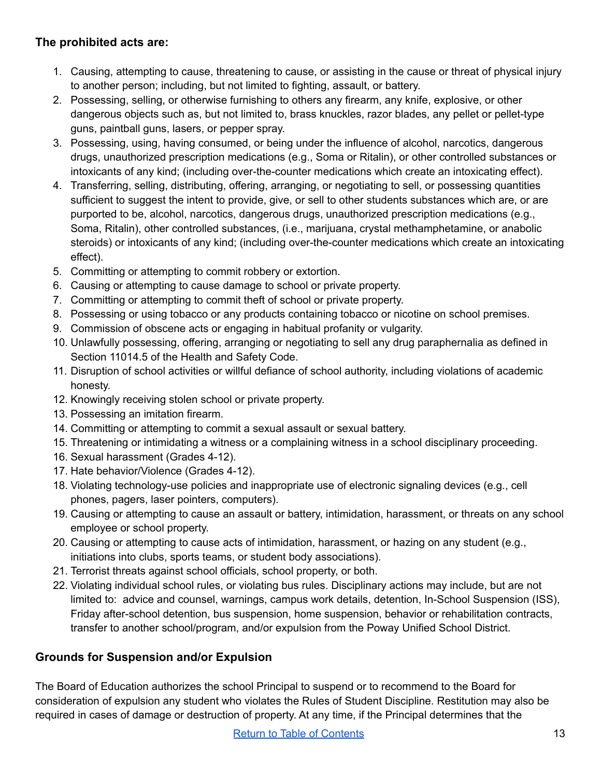### **The prohibited acts are:**

- 1. Causing, attempting to cause, threatening to cause, or assisting in the cause or threat of physical injury to another person; including, but not limited to fighting, assault, or battery.
- 2. Possessing, selling, or otherwise furnishing to others any firearm, any knife, explosive, or other dangerous objects such as, but not limited to, brass knuckles, razor blades, any pellet or pellet-type guns, paintball guns, lasers, or pepper spray.
- 3. Possessing, using, having consumed, or being under the influence of alcohol, narcotics, dangerous drugs, unauthorized prescription medications (e.g., Soma or Ritalin), or other controlled substances or intoxicants of any kind; (including over-the-counter medications which create an intoxicating effect).
- 4. Transferring, selling, distributing, offering, arranging, or negotiating to sell, or possessing quantities sufficient to suggest the intent to provide, give, or sell to other students substances which are, or are purported to be, alcohol, narcotics, dangerous drugs, unauthorized prescription medications (e.g., Soma, Ritalin), other controlled substances, (i.e., marijuana, crystal methamphetamine, or anabolic steroids) or intoxicants of any kind; (including over-the-counter medications which create an intoxicating effect).
- 5. Committing or attempting to commit robbery or extortion.
- 6. Causing or attempting to cause damage to school or private property.
- 7. Committing or attempting to commit theft of school or private property.
- 8. Possessing or using tobacco or any products containing tobacco or nicotine on school premises.
- 9. Commission of obscene acts or engaging in habitual profanity or vulgarity.
- 10. Unlawfully possessing, offering, arranging or negotiating to sell any drug paraphernalia as defined in Section 11014.5 of the Health and Safety Code.
- 11. Disruption of school activities or willful defiance of school authority, including violations of academic honesty.
- 12. Knowingly receiving stolen school or private property.
- 13. Possessing an imitation firearm.
- 14. Committing or attempting to commit a sexual assault or sexual battery.
- 15. Threatening or intimidating a witness or a complaining witness in a school disciplinary proceeding.
- 16. Sexual harassment (Grades 4-12).
- 17. Hate behavior/Violence (Grades 4-12).
- 18. Violating technology-use policies and inappropriate use of electronic signaling devices (e.g., cell phones, pagers, laser pointers, computers).
- 19. Causing or attempting to cause an assault or battery, intimidation, harassment, or threats on any school employee or school property.
- 20. Causing or attempting to cause acts of intimidation, harassment, or hazing on any student (e.g., initiations into clubs, sports teams, or student body associations).
- 21. Terrorist threats against school officials, school property, or both.
- 22. Violating individual school rules, or violating bus rules. Disciplinary actions may include, but are not limited to: advice and counsel, warnings, campus work details, detention, In-School Suspension (ISS), Friday after-school detention, bus suspension, home suspension, behavior or rehabilitation contracts, transfer to another school/program, and/or expulsion from the Poway Unified School District.

### **Grounds for Suspension and/or Expulsion**

The Board of Education authorizes the school Principal to suspend or to recommend to the Board for consideration of expulsion any student who violates the Rules of Student Discipline. Restitution may also be required in cases of damage or destruction of property. At any time, if the Principal determines that the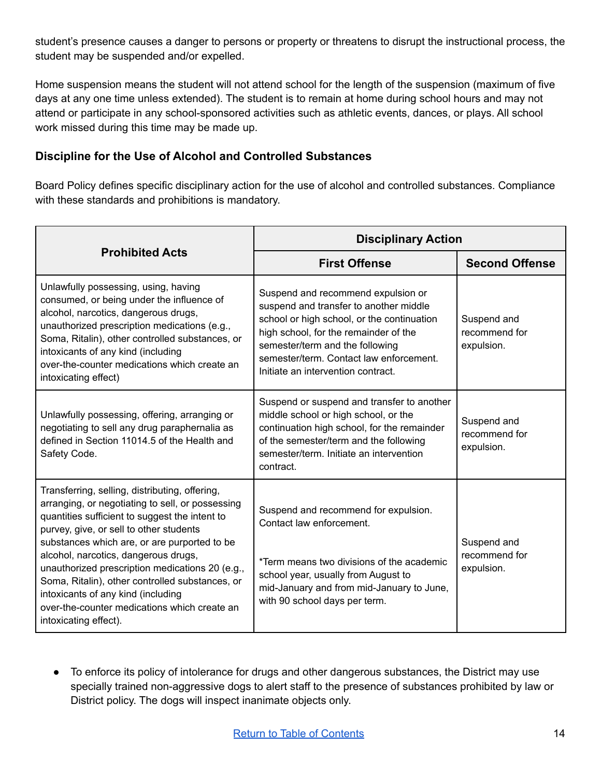student's presence causes a danger to persons or property or threatens to disrupt the instructional process, the student may be suspended and/or expelled.

Home suspension means the student will not attend school for the length of the suspension (maximum of five days at any one time unless extended). The student is to remain at home during school hours and may not attend or participate in any school-sponsored activities such as athletic events, dances, or plays. All school work missed during this time may be made up.

### **Discipline for the Use of Alcohol and Controlled Substances**

Board Policy defines specific disciplinary action for the use of alcohol and controlled substances. Compliance with these standards and prohibitions is mandatory.

|                                                                                                                                                                                                                                                                                                                                                                                                                                                                                                              | <b>Disciplinary Action</b>                                                                                                                                                                                                                                                              |                                            |  |  |
|--------------------------------------------------------------------------------------------------------------------------------------------------------------------------------------------------------------------------------------------------------------------------------------------------------------------------------------------------------------------------------------------------------------------------------------------------------------------------------------------------------------|-----------------------------------------------------------------------------------------------------------------------------------------------------------------------------------------------------------------------------------------------------------------------------------------|--------------------------------------------|--|--|
| <b>Prohibited Acts</b>                                                                                                                                                                                                                                                                                                                                                                                                                                                                                       | <b>First Offense</b>                                                                                                                                                                                                                                                                    | <b>Second Offense</b>                      |  |  |
| Unlawfully possessing, using, having<br>consumed, or being under the influence of<br>alcohol, narcotics, dangerous drugs,<br>unauthorized prescription medications (e.g.,<br>Soma, Ritalin), other controlled substances, or<br>intoxicants of any kind (including<br>over-the-counter medications which create an<br>intoxicating effect)                                                                                                                                                                   | Suspend and recommend expulsion or<br>suspend and transfer to another middle<br>school or high school, or the continuation<br>high school, for the remainder of the<br>semester/term and the following<br>semester/term. Contact law enforcement.<br>Initiate an intervention contract. | Suspend and<br>recommend for<br>expulsion. |  |  |
| Unlawfully possessing, offering, arranging or<br>negotiating to sell any drug paraphernalia as<br>defined in Section 11014.5 of the Health and<br>Safety Code.                                                                                                                                                                                                                                                                                                                                               | Suspend or suspend and transfer to another<br>middle school or high school, or the<br>continuation high school, for the remainder<br>of the semester/term and the following<br>semester/term. Initiate an intervention<br>contract.                                                     | Suspend and<br>recommend for<br>expulsion. |  |  |
| Transferring, selling, distributing, offering,<br>arranging, or negotiating to sell, or possessing<br>quantities sufficient to suggest the intent to<br>purvey, give, or sell to other students<br>substances which are, or are purported to be<br>alcohol, narcotics, dangerous drugs,<br>unauthorized prescription medications 20 (e.g.,<br>Soma, Ritalin), other controlled substances, or<br>intoxicants of any kind (including<br>over-the-counter medications which create an<br>intoxicating effect). | Suspend and recommend for expulsion.<br>Contact law enforcement.<br>*Term means two divisions of the academic<br>school year, usually from August to<br>mid-January and from mid-January to June,<br>with 90 school days per term.                                                      | Suspend and<br>recommend for<br>expulsion. |  |  |

● To enforce its policy of intolerance for drugs and other dangerous substances, the District may use specially trained non-aggressive dogs to alert staff to the presence of substances prohibited by law or District policy. The dogs will inspect inanimate objects only.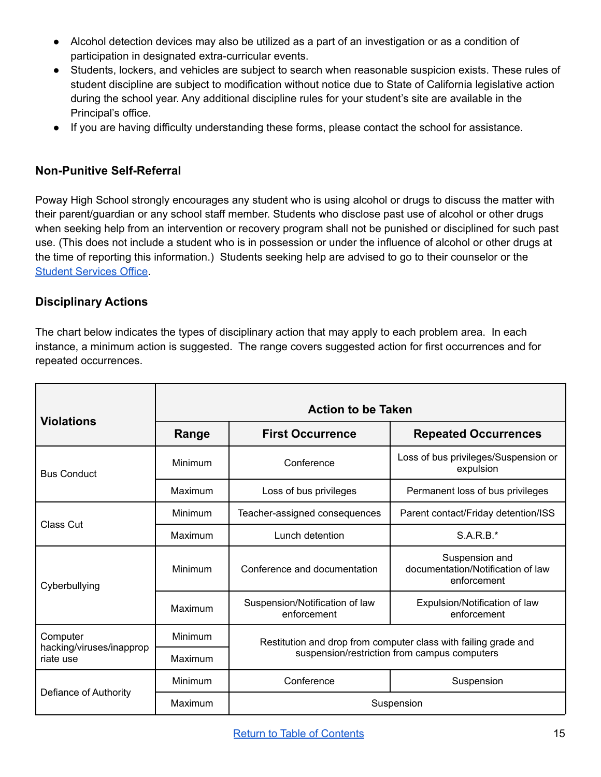- Alcohol detection devices may also be utilized as a part of an investigation or as a condition of participation in designated extra-curricular events.
- Students, lockers, and vehicles are subject to search when reasonable suspicion exists. These rules of student discipline are subject to modification without notice due to State of California legislative action during the school year. Any additional discipline rules for your student's site are available in the Principal's office.
- If you are having difficulty understanding these forms, please contact the school for assistance.

### **Non-Punitive Self-Referral**

Poway High School strongly encourages any student who is using alcohol or drugs to discuss the matter with their parent/guardian or any school staff member. Students who disclose past use of alcohol or other drugs when seeking help from an intervention or recovery program shall not be punished or disciplined for such past use. (This does not include a student who is in possession or under the influence of alcohol or other drugs at the time of reporting this information.) Students seeking help are advised to go to their counselor or the Student [Services](https://www.powayusd.com/en-US/Schools/HS/PHS/Students/Student-Services/Student-Services) Office.

### <span id="page-15-0"></span>**Disciplinary Actions**

The chart below indicates the types of disciplinary action that may apply to each problem area. In each instance, a minimum action is suggested. The range covers suggested action for first occurrences and for repeated occurrences.

| <b>Violations</b>                     | <b>Action to be Taken</b> |                                                                                                                 |                                                                    |  |
|---------------------------------------|---------------------------|-----------------------------------------------------------------------------------------------------------------|--------------------------------------------------------------------|--|
|                                       | Range                     | <b>First Occurrence</b>                                                                                         | <b>Repeated Occurrences</b>                                        |  |
| <b>Bus Conduct</b>                    | Minimum                   | Conference                                                                                                      | Loss of bus privileges/Suspension or<br>expulsion                  |  |
|                                       | Maximum                   | Loss of bus privileges                                                                                          | Permanent loss of bus privileges                                   |  |
| Class Cut                             | Minimum                   | Teacher-assigned consequences                                                                                   | Parent contact/Friday detention/ISS                                |  |
|                                       | Maximum                   | Lunch detention                                                                                                 | $S.A.R.B.*$                                                        |  |
| Cyberbullying                         | Minimum                   | Conference and documentation                                                                                    | Suspension and<br>documentation/Notification of law<br>enforcement |  |
|                                       | Maximum                   | Suspension/Notification of law<br>enforcement                                                                   | Expulsion/Notification of law<br>enforcement                       |  |
| Computer                              | Minimum                   | Restitution and drop from computer class with failing grade and<br>suspension/restriction from campus computers |                                                                    |  |
| hacking/viruses/inapprop<br>riate use | Maximum                   |                                                                                                                 |                                                                    |  |
| Defiance of Authority                 | Minimum                   | Conference                                                                                                      | Suspension                                                         |  |
|                                       | Maximum                   | Suspension                                                                                                      |                                                                    |  |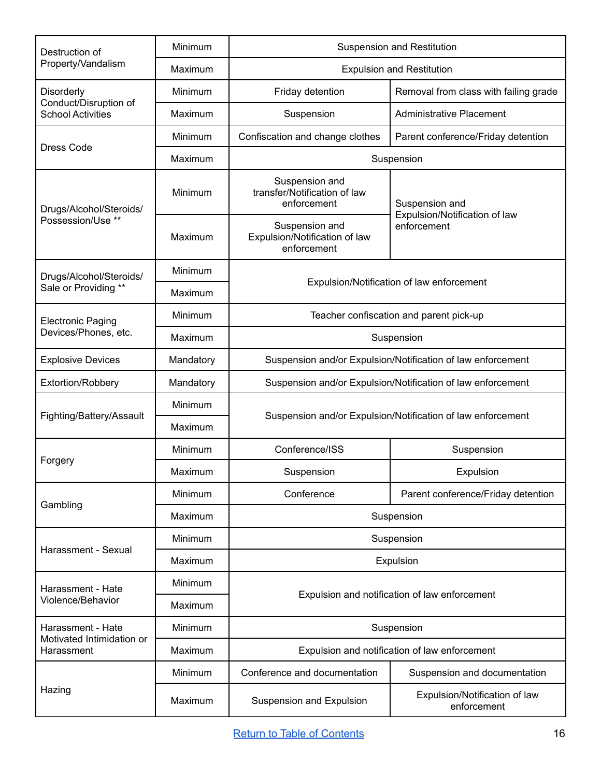| Destruction of                                    | Minimum   | <b>Suspension and Restitution</b>                              |                                                 |  |
|---------------------------------------------------|-----------|----------------------------------------------------------------|-------------------------------------------------|--|
| Property/Vandalism                                | Maximum   | <b>Expulsion and Restitution</b>                               |                                                 |  |
| Disorderly                                        | Minimum   | Friday detention                                               | Removal from class with failing grade           |  |
| Conduct/Disruption of<br><b>School Activities</b> | Maximum   | Suspension                                                     | <b>Administrative Placement</b>                 |  |
|                                                   | Minimum   | Confiscation and change clothes                                | Parent conference/Friday detention              |  |
| <b>Dress Code</b>                                 | Maximum   | Suspension                                                     |                                                 |  |
| Drugs/Alcohol/Steroids/                           | Minimum   | Suspension and<br>transfer/Notification of law<br>enforcement  | Suspension and<br>Expulsion/Notification of law |  |
| Possession/Use **                                 | Maximum   | Suspension and<br>Expulsion/Notification of law<br>enforcement | enforcement                                     |  |
| Drugs/Alcohol/Steroids/                           | Minimum   |                                                                |                                                 |  |
| Sale or Providing **                              | Maximum   | Expulsion/Notification of law enforcement                      |                                                 |  |
| <b>Electronic Paging</b>                          | Minimum   | Teacher confiscation and parent pick-up                        |                                                 |  |
| Devices/Phones, etc.<br>Maximum                   |           | Suspension                                                     |                                                 |  |
| <b>Explosive Devices</b>                          | Mandatory | Suspension and/or Expulsion/Notification of law enforcement    |                                                 |  |
| Extortion/Robbery                                 | Mandatory | Suspension and/or Expulsion/Notification of law enforcement    |                                                 |  |
|                                                   | Minimum   | Suspension and/or Expulsion/Notification of law enforcement    |                                                 |  |
| Fighting/Battery/Assault                          | Maximum   |                                                                |                                                 |  |
|                                                   | Minimum   | Conference/ISS                                                 | Suspension                                      |  |
| Forgery                                           | Maximum   | Suspension                                                     | Expulsion                                       |  |
|                                                   | Minimum   | Conference                                                     | Parent conference/Friday detention              |  |
| Gambling                                          | Maximum   | Suspension                                                     |                                                 |  |
| Harassment - Sexual                               | Minimum   | Suspension                                                     |                                                 |  |
|                                                   | Maximum   | Expulsion                                                      |                                                 |  |
| Harassment - Hate<br>Violence/Behavior            | Minimum   |                                                                |                                                 |  |
|                                                   | Maximum   | Expulsion and notification of law enforcement                  |                                                 |  |
| Harassment - Hate                                 | Minimum   | Suspension                                                     |                                                 |  |
| Motivated Intimidation or<br>Harassment           | Maximum   | Expulsion and notification of law enforcement                  |                                                 |  |
|                                                   | Minimum   | Conference and documentation                                   | Suspension and documentation                    |  |
| Hazing                                            | Maximum   | Suspension and Expulsion                                       | Expulsion/Notification of law<br>enforcement    |  |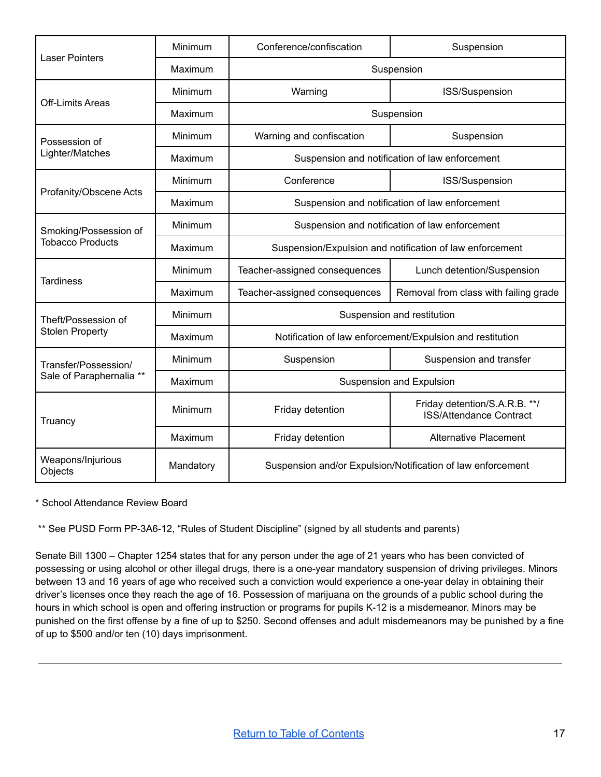| <b>Laser Pointers</b>                            | Minimum   | Conference/confiscation                                     | Suspension                                                      |
|--------------------------------------------------|-----------|-------------------------------------------------------------|-----------------------------------------------------------------|
|                                                  | Maximum   | Suspension                                                  |                                                                 |
|                                                  | Minimum   | Warning                                                     | ISS/Suspension                                                  |
| <b>Off-Limits Areas</b>                          | Maximum   | Suspension                                                  |                                                                 |
| Possession of                                    | Minimum   | Warning and confiscation                                    | Suspension                                                      |
| Lighter/Matches                                  | Maximum   | Suspension and notification of law enforcement              |                                                                 |
|                                                  | Minimum   | Conference                                                  | ISS/Suspension                                                  |
| Profanity/Obscene Acts                           | Maximum   |                                                             | Suspension and notification of law enforcement                  |
| Smoking/Possession of                            | Minimum   | Suspension and notification of law enforcement              |                                                                 |
| <b>Tobacco Products</b>                          | Maximum   | Suspension/Expulsion and notification of law enforcement    |                                                                 |
|                                                  | Minimum   | Teacher-assigned consequences                               | Lunch detention/Suspension                                      |
| <b>Tardiness</b>                                 | Maximum   | Teacher-assigned consequences                               | Removal from class with failing grade                           |
| Theft/Possession of<br><b>Stolen Property</b>    | Minimum   | Suspension and restitution                                  |                                                                 |
|                                                  | Maximum   | Notification of law enforcement/Expulsion and restitution   |                                                                 |
| Transfer/Possession/<br>Sale of Paraphernalia ** | Minimum   | Suspension                                                  | Suspension and transfer                                         |
|                                                  | Maximum   | Suspension and Expulsion                                    |                                                                 |
| Truancy                                          | Minimum   | Friday detention                                            | Friday detention/S.A.R.B. **/<br><b>ISS/Attendance Contract</b> |
|                                                  | Maximum   | Friday detention                                            | <b>Alternative Placement</b>                                    |
| Weapons/Injurious<br>Objects                     | Mandatory | Suspension and/or Expulsion/Notification of law enforcement |                                                                 |

\* School Attendance Review Board

\*\* See PUSD Form PP-3A6-12, "Rules of Student Discipline" (signed by all students and parents)

Senate Bill 1300 – Chapter 1254 states that for any person under the age of 21 years who has been convicted of possessing or using alcohol or other illegal drugs, there is a one-year mandatory suspension of driving privileges. Minors between 13 and 16 years of age who received such a conviction would experience a one-year delay in obtaining their driver's licenses once they reach the age of 16. Possession of marijuana on the grounds of a public school during the hours in which school is open and offering instruction or programs for pupils K-12 is a misdemeanor. Minors may be punished on the first offense by a fine of up to \$250. Second offenses and adult misdemeanors may be punished by a fine of up to \$500 and/or ten (10) days imprisonment.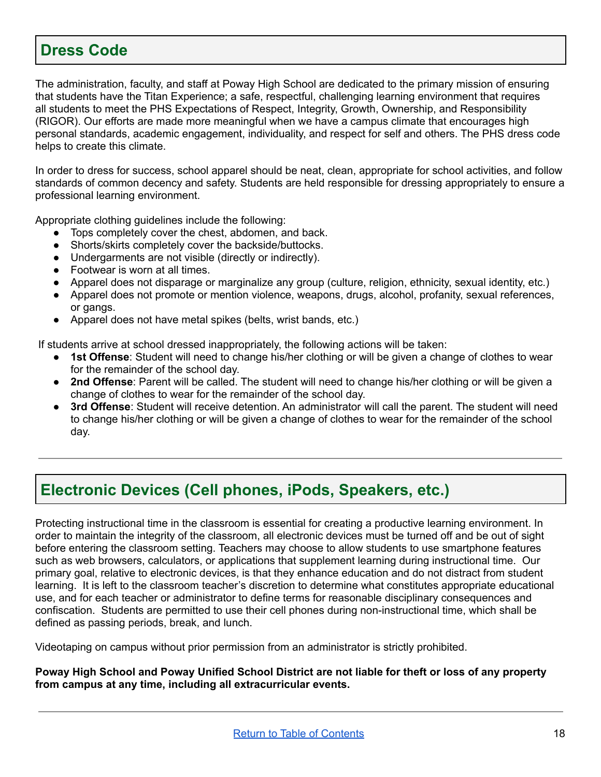### <span id="page-18-1"></span>**Dress Code**

The administration, faculty, and staff at Poway High School are dedicated to the primary mission of ensuring that students have the Titan Experience; a safe, respectful, challenging learning environment that requires all students to meet the PHS Expectations of Respect, Integrity, Growth, Ownership, and Responsibility (RIGOR). Our efforts are made more meaningful when we have a campus climate that encourages high personal standards, academic engagement, individuality, and respect for self and others. The PHS dress code helps to create this climate.

In order to dress for success, school apparel should be neat, clean, appropriate for school activities, and follow standards of common decency and safety. Students are held responsible for dressing appropriately to ensure a professional learning environment.

Appropriate clothing guidelines include the following:

- Tops completely cover the chest, abdomen, and back.
- Shorts/skirts completely cover the backside/buttocks.
- Undergarments are not visible (directly or indirectly).
- Footwear is worn at all times.
- Apparel does not disparage or marginalize any group (culture, religion, ethnicity, sexual identity, etc.)
- Apparel does not promote or mention violence, weapons, drugs, alcohol, profanity, sexual references, or gangs.
- Apparel does not have metal spikes (belts, wrist bands, etc.)

If students arrive at school dressed inappropriately, the following actions will be taken:

- **1st Offense**: Student will need to change his/her clothing or will be given a change of clothes to wear for the remainder of the school day.
- **2nd Offense**: Parent will be called. The student will need to change his/her clothing or will be given a change of clothes to wear for the remainder of the school day.
- 3rd Offense: Student will receive detention. An administrator will call the parent. The student will need to change his/her clothing or will be given a change of clothes to wear for the remainder of the school day.

### <span id="page-18-0"></span>**Electronic Devices (Cell phones, iPods, Speakers, etc.)**

Protecting instructional time in the classroom is essential for creating a productive learning environment. In order to maintain the integrity of the classroom, all electronic devices must be turned off and be out of sight before entering the classroom setting. Teachers may choose to allow students to use smartphone features such as web browsers, calculators, or applications that supplement learning during instructional time. Our primary goal, relative to electronic devices, is that they enhance education and do not distract from student learning. It is left to the classroom teacher's discretion to determine what constitutes appropriate educational use, and for each teacher or administrator to define terms for reasonable disciplinary consequences and confiscation. Students are permitted to use their cell phones during non-instructional time, which shall be defined as passing periods, break, and lunch.

Videotaping on campus without prior permission from an administrator is strictly prohibited.

Poway High School and Poway Unified School District are not liable for theft or loss of any property **from campus at any time, including all extracurricular events.**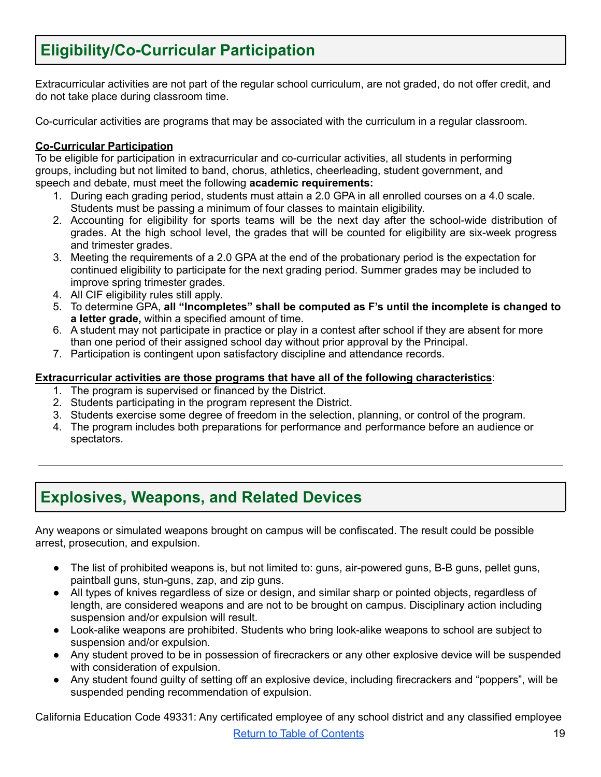# <span id="page-19-0"></span>**Eligibility/Co-Curricular Participation**

Extracurricular activities are not part of the regular school curriculum, are not graded, do not offer credit, and do not take place during classroom time.

Co-curricular activities are programs that may be associated with the curriculum in a regular classroom.

#### **Co-Curricular Participation**

To be eligible for participation in extracurricular and co-curricular activities, all students in performing groups, including but not limited to band, chorus, athletics, cheerleading, student government, and speech and debate, must meet the following **academic requirements:**

- 1. During each grading period, students must attain a 2.0 GPA in all enrolled courses on a 4.0 scale. Students must be passing a minimum of four classes to maintain eligibility.
- 2. Accounting for eligibility for sports teams will be the next day after the school-wide distribution of grades. At the high school level, the grades that will be counted for eligibility are six-week progress and trimester grades.
- 3. Meeting the requirements of a 2.0 GPA at the end of the probationary period is the expectation for continued eligibility to participate for the next grading period. Summer grades may be included to improve spring trimester grades.
- 4. All CIF eligibility rules still apply.
- 5. To determine GPA, **all "Incompletes" shall be computed as F's until the incomplete is changed to a letter grade,** within a specified amount of time.
- 6. A student may not participate in practice or play in a contest after school if they are absent for more than one period of their assigned school day without prior approval by the Principal.
- 7. Participation is contingent upon satisfactory discipline and attendance records.

#### **Extracurricular activities are those programs that have all of the following characteristics**:

- 1. The program is supervised or financed by the District.
- 2. Students participating in the program represent the District.
- 3. Students exercise some degree of freedom in the selection, planning, or control of the program.
- 4. The program includes both preparations for performance and performance before an audience or spectators.

### <span id="page-19-1"></span>**Explosives, Weapons, and Related Devices**

Any weapons or simulated weapons brought on campus will be confiscated. The result could be possible arrest, prosecution, and expulsion.

- The list of prohibited weapons is, but not limited to: guns, air-powered guns, B-B guns, pellet guns, paintball guns, stun-guns, zap, and zip guns.
- All types of knives regardless of size or design, and similar sharp or pointed objects, regardless of length, are considered weapons and are not to be brought on campus. Disciplinary action including suspension and/or expulsion will result.
- Look-alike weapons are prohibited. Students who bring look-alike weapons to school are subject to suspension and/or expulsion.
- Any student proved to be in possession of firecrackers or any other explosive device will be suspended with consideration of expulsion.
- Any student found guilty of setting off an explosive device, including firecrackers and "poppers", will be suspended pending recommendation of expulsion.

California Education Code 49331: Any certificated employee of any school district and any classified employee Return to Table of [Contents](#page-1-0) 19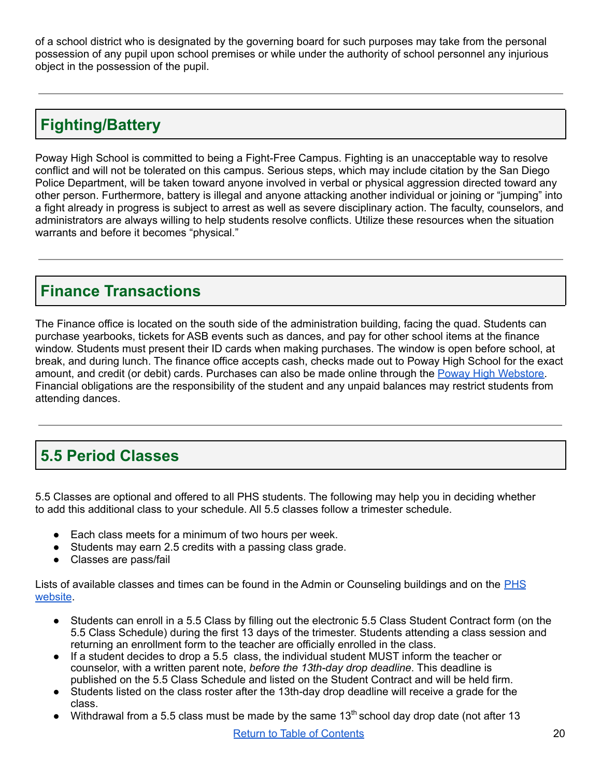of a school district who is designated by the governing board for such purposes may take from the personal possession of any pupil upon school premises or while under the authority of school personnel any injurious object in the possession of the pupil.

# <span id="page-20-0"></span>**Fighting/Battery**

Poway High School is committed to being a Fight-Free Campus. Fighting is an unacceptable way to resolve conflict and will not be tolerated on this campus. Serious steps, which may include citation by the San Diego Police Department, will be taken toward anyone involved in verbal or physical aggression directed toward any other person. Furthermore, battery is illegal and anyone attacking another individual or joining or "jumping" into a fight already in progress is subject to arrest as well as severe disciplinary action. The faculty, counselors, and administrators are always willing to help students resolve conflicts. Utilize these resources when the situation warrants and before it becomes "physical."

### <span id="page-20-1"></span>**Finance Transactions**

The Finance office is located on the south side of the administration building, facing the quad. Students can purchase yearbooks, tickets for ASB events such as dances, and pay for other school items at the finance window. Students must present their ID cards when making purchases. The window is open before school, at break, and during lunch. The finance office accepts cash, checks made out to Poway High School for the exact amount, and credit (or debit) cards. Purchases can also be made online through the Poway High [Webstore.](https://webstores.activenetwork.com/school-software/titan_webstore/) Financial obligations are the responsibility of the student and any unpaid balances may restrict students from attending dances.

# <span id="page-20-2"></span>**5.5 Period Classes**

5.5 Classes are optional and offered to all PHS students. The following may help you in deciding whether to add this additional class to your schedule. All 5.5 classes follow a trimester schedule.

- Each class meets for a minimum of two hours per week.
- Students may earn 2.5 credits with a passing class grade.
- Classes are pass/fail

Lists of available classes and times can be found in the Admin or Counseling buildings and on the [PHS](https://www.powayusd.com/en-US/Schools/HS/PHS/Academics/Academic-Planning/5-5-Period-Classes) [website](https://www.powayusd.com/en-US/Schools/HS/PHS/Academics/Academic-Planning/5-5-Period-Classes).

- Students can enroll in a 5.5 Class by filling out the electronic 5.5 Class Student Contract form (on the 5.5 Class Schedule) during the first 13 days of the trimester. Students attending a class session and returning an enrollment form to the teacher are officially enrolled in the class.
- If a student decides to drop a 5.5 class, the individual student MUST inform the teacher or counselor, with a written parent note, *before the 13th-day drop deadline*. This deadline is published on the 5.5 Class Schedule and listed on the Student Contract and will be held firm.
- Students listed on the class roster after the 13th-day drop deadline will receive a grade for the class.
- Withdrawal from a 5.5 class must be made by the same  $13<sup>th</sup>$  school day drop date (not after 13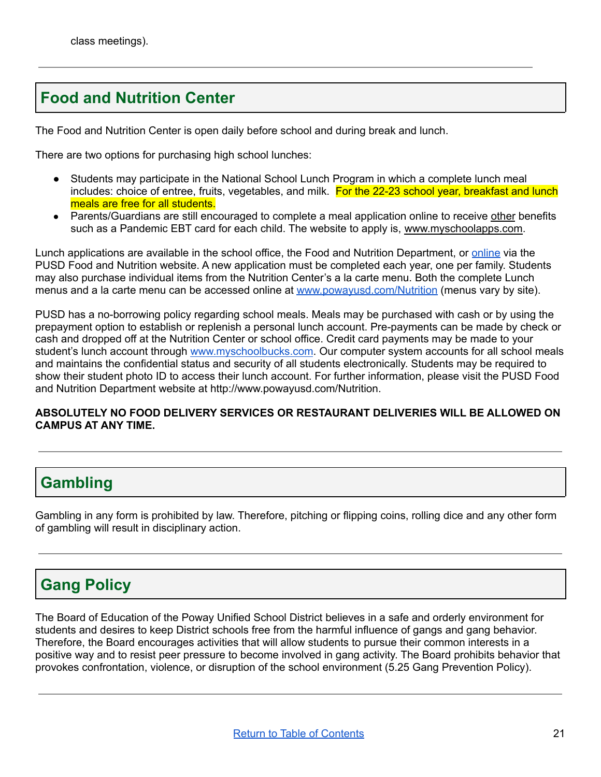# <span id="page-21-0"></span>**Food and Nutrition Center**

The Food and Nutrition Center is open daily before school and during break and lunch.

There are two options for purchasing high school lunches:

- Students may participate in the National School Lunch Program in which a complete lunch meal includes: choice of entree, fruits, vegetables, and milk. For the 22-23 school year, breakfast and lunch meals are free for all students.
- Parents/Guardians are still encouraged to complete a meal application online to receive other benefits such as a Pandemic EBT card for each child. The website to apply is, [www.myschoolapps.com.](http://www.myschoolapps.com)

Lunch applications are available in the school office, the Food and Nutrition Department, or [online](https://powayusdnutrition.com/?page=lunchapps) via the PUSD Food and Nutrition website. A new application must be completed each year, one per family. Students may also purchase individual items from the Nutrition Center's a la carte menu. Both the complete Lunch menus and a la carte menu can be accessed online at [www.powayusd.com/Nutrition](http://www.powayusd.com/Nutrition) (menus vary by site).

PUSD has a no-borrowing policy regarding school meals. Meals may be purchased with cash or by using the prepayment option to establish or replenish a personal lunch account. Pre-payments can be made by check or cash and dropped off at the Nutrition Center or school office. Credit card payments may be made to your student's lunch account through [www.myschoolbucks.com](http://www.myschoolbucks.com). Our computer system accounts for all school meals and maintains the confidential status and security of all students electronically. Students may be required to show their student photo ID to access their lunch account. For further information, please visit the PUSD Food and Nutrition Department website at http://www.powayusd.com/Nutrition.

#### **ABSOLUTELY NO FOOD DELIVERY SERVICES OR RESTAURANT DELIVERIES WILL BE ALLOWED ON CAMPUS AT ANY TIME.**

### <span id="page-21-1"></span>**Gambling**

Gambling in any form is prohibited by law. Therefore, pitching or flipping coins, rolling dice and any other form of gambling will result in disciplinary action.

# <span id="page-21-2"></span>**Gang Policy**

The Board of Education of the Poway Unified School District believes in a safe and orderly environment for students and desires to keep District schools free from the harmful influence of gangs and gang behavior. Therefore, the Board encourages activities that will allow students to pursue their common interests in a positive way and to resist peer pressure to become involved in gang activity. The Board prohibits behavior that provokes confrontation, violence, or disruption of the school environment (5.25 Gang Prevention Policy).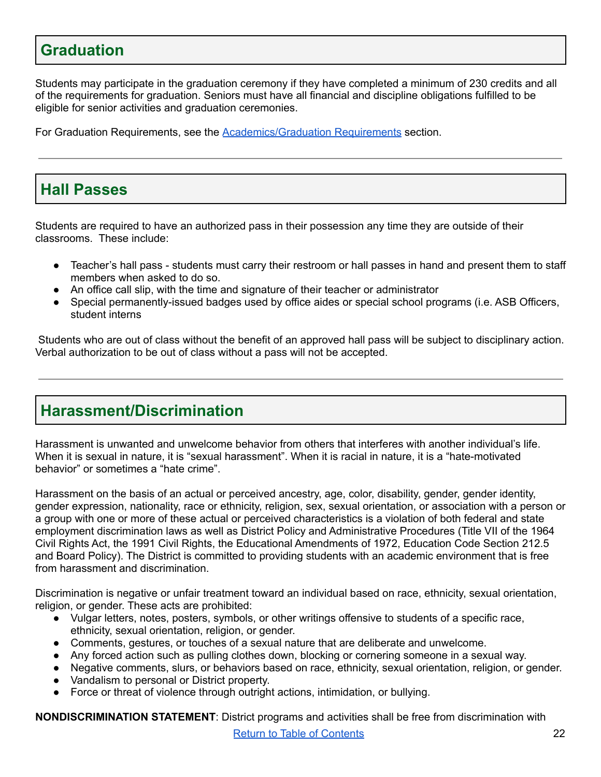### <span id="page-22-0"></span>**Graduation**

Students may participate in the graduation ceremony if they have completed a minimum of 230 credits and all of the requirements for graduation. Seniors must have all financial and discipline obligations fulfilled to be eligible for senior activities and graduation ceremonies.

For Graduation Requirements, see the [Academics/Graduation](#page-4-0) Requirements section.

# <span id="page-22-1"></span>**Hall Passes**

Students are required to have an authorized pass in their possession any time they are outside of their classrooms. These include:

- Teacher's hall pass students must carry their restroom or hall passes in hand and present them to staff members when asked to do so.
- An office call slip, with the time and signature of their teacher or administrator
- Special permanently-issued badges used by office aides or special school programs (i.e. ASB Officers, student interns

Students who are out of class without the benefit of an approved hall pass will be subject to disciplinary action. Verbal authorization to be out of class without a pass will not be accepted.

### <span id="page-22-2"></span>**Harassment/Discrimination**

Harassment is unwanted and unwelcome behavior from others that interferes with another individual's life. When it is sexual in nature, it is "sexual harassment". When it is racial in nature, it is a "hate-motivated behavior" or sometimes a "hate crime".

Harassment on the basis of an actual or perceived ancestry, age, color, disability, gender, gender identity, gender expression, nationality, race or ethnicity, religion, sex, sexual orientation, or association with a person or a group with one or more of these actual or perceived characteristics is a violation of both federal and state employment discrimination laws as well as District Policy and Administrative Procedures (Title VII of the 1964 Civil Rights Act, the 1991 Civil Rights, the Educational Amendments of 1972, Education Code Section 212.5 and Board Policy). The District is committed to providing students with an academic environment that is free from harassment and discrimination.

Discrimination is negative or unfair treatment toward an individual based on race, ethnicity, sexual orientation, religion, or gender. These acts are prohibited:

- Vulgar letters, notes, posters, symbols, or other writings offensive to students of a specific race, ethnicity, sexual orientation, religion, or gender.
- Comments, gestures, or touches of a sexual nature that are deliberate and unwelcome.
- Any forced action such as pulling clothes down, blocking or cornering someone in a sexual way.
- Negative comments, slurs, or behaviors based on race, ethnicity, sexual orientation, religion, or gender.
- Vandalism to personal or District property.
- Force or threat of violence through outright actions, intimidation, or bullying.

**NONDISCRIMINATION STATEMENT**: District programs and activities shall be free from discrimination with **Return to Table of [Contents](#page-1-0)** 22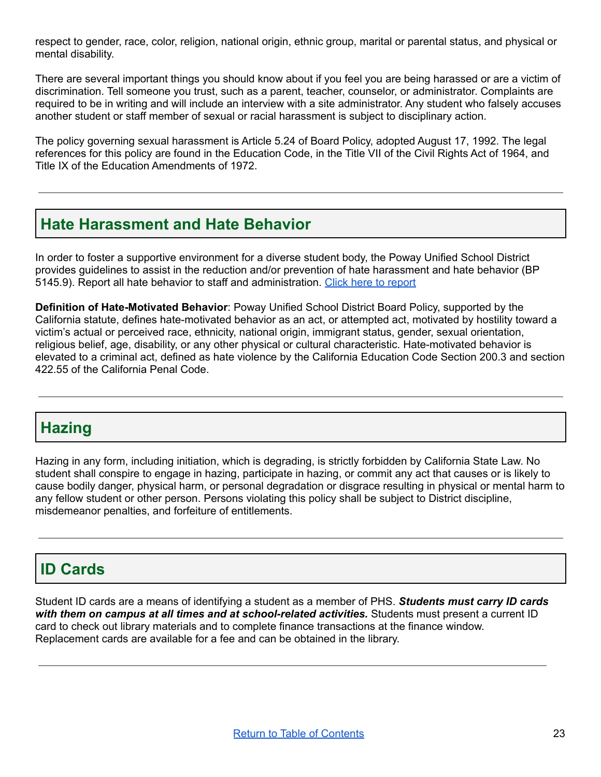respect to gender, race, color, religion, national origin, ethnic group, marital or parental status, and physical or mental disability.

There are several important things you should know about if you feel you are being harassed or are a victim of discrimination. Tell someone you trust, such as a parent, teacher, counselor, or administrator. Complaints are required to be in writing and will include an interview with a site administrator. Any student who falsely accuses another student or staff member of sexual or racial harassment is subject to disciplinary action.

The policy governing sexual harassment is Article 5.24 of Board Policy, adopted August 17, 1992. The legal references for this policy are found in the Education Code, in the Title VII of the Civil Rights Act of 1964, and Title IX of the Education Amendments of 1972.

### <span id="page-23-0"></span>**Hate Harassment and Hate Behavior**

In order to foster a supportive environment for a diverse student body, the Poway Unified School District provides guidelines to assist in the reduction and/or prevention of hate harassment and hate behavior (BP 5145.9). Report all hate behavior to staff and administration. Click here to [report](https://docs.google.com/forms/d/e/1FAIpQLSerMPXmhv7nhAbXGJO1T2Ljd5ISG1pmRZvWRT3g4pvvKcWVjQ/viewform?usp=sf_link)

**Definition of Hate-Motivated Behavior**: Poway Unified School District Board Policy, supported by the California statute, defines hate-motivated behavior as an act, or attempted act, motivated by hostility toward a victim's actual or perceived race, ethnicity, national origin, immigrant status, gender, sexual orientation, religious belief, age, disability, or any other physical or cultural characteristic. Hate-motivated behavior is elevated to a criminal act, defined as hate violence by the California Education Code Section 200.3 and section 422.55 of the California Penal Code.

### <span id="page-23-1"></span>**Hazing**

Hazing in any form, including initiation, which is degrading, is strictly forbidden by California State Law. No student shall conspire to engage in hazing, participate in hazing, or commit any act that causes or is likely to cause bodily danger, physical harm, or personal degradation or disgrace resulting in physical or mental harm to any fellow student or other person. Persons violating this policy shall be subject to District discipline, misdemeanor penalties, and forfeiture of entitlements.

### <span id="page-23-2"></span>**ID Cards**

Student ID cards are a means of identifying a student as a member of PHS. *Students must carry ID cards with them on campus at all times and at school-related activities.* Students must present a current ID card to check out library materials and to complete finance transactions at the finance window. Replacement cards are available for a fee and can be obtained in the library.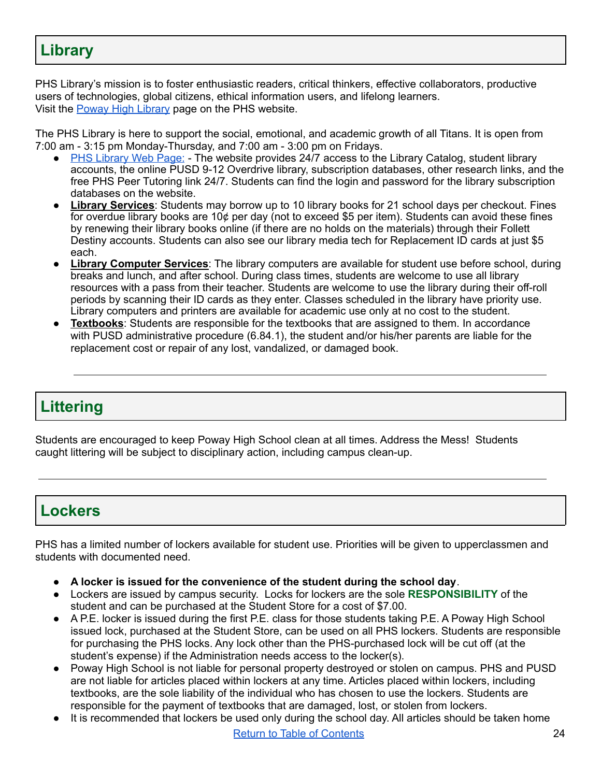# <span id="page-24-0"></span>**Library**

PHS Library's mission is to foster enthusiastic readers, critical thinkers, effective collaborators, productive users of technologies, global citizens, ethical information users, and lifelong learners. Visit the Poway High [Library](https://www.powayusd.com/en-US/Schools/HS/PHS/Academics/Library/Library-Home) page on the PHS website.

The PHS Library is here to support the social, emotional, and academic growth of all Titans. It is open from 7:00 am - 3:15 pm Monday-Thursday, and 7:00 am - 3:00 pm on Fridays.

- PHS [Library](https://www.powayusd.com/en-US/Schools/HS/PHS/Academics/Library/Library-Home) Web Page: The website provides 24/7 access to the Library Catalog, student library accounts, the online PUSD 9-12 Overdrive library, subscription databases, other research links, and the free PHS Peer Tutoring link 24/7. Students can find the login and password for the library subscription databases on the website.
- **Library Services**: Students may borrow up to 10 library books for 21 school days per checkout. Fines for overdue library books are 10¢ per day (not to exceed \$5 per item). Students can avoid these fines by renewing their library books online (if there are no holds on the materials) through their Follett Destiny accounts. Students can also see our library media tech for Replacement ID cards at just \$5 each.
- **Library Computer Services**: The library computers are available for student use before school, during breaks and lunch, and after school. During class times, students are welcome to use all library resources with a pass from their teacher. Students are welcome to use the library during their off-roll periods by scanning their ID cards as they enter. Classes scheduled in the library have priority use. Library computers and printers are available for academic use only at no cost to the student.
- **Textbooks**: Students are responsible for the textbooks that are assigned to them. In accordance with PUSD administrative procedure (6.84.1), the student and/or his/her parents are liable for the replacement cost or repair of any lost, vandalized, or damaged book.

# <span id="page-24-1"></span>**Littering**

Students are encouraged to keep Poway High School clean at all times. Address the Mess! Students caught littering will be subject to disciplinary action, including campus clean-up.

### <span id="page-24-2"></span>**Lockers**

PHS has a limited number of lockers available for student use. Priorities will be given to upperclassmen and students with documented need.

- **A locker is issued for the convenience of the student during the school day**.
- Lockers are issued by campus security. Locks for lockers are the sole **RESPONSIBILITY** of the student and can be purchased at the Student Store for a cost of \$7.00.
- A P.E. locker is issued during the first P.E. class for those students taking P.E. A Poway High School issued lock, purchased at the Student Store, can be used on all PHS lockers. Students are responsible for purchasing the PHS locks. Any lock other than the PHS-purchased lock will be cut off (at the student's expense) if the Administration needs access to the locker(s).
- Poway High School is not liable for personal property destroyed or stolen on campus. PHS and PUSD are not liable for articles placed within lockers at any time. Articles placed within lockers, including textbooks, are the sole liability of the individual who has chosen to use the lockers. Students are responsible for the payment of textbooks that are damaged, lost, or stolen from lockers.
- It is recommended that lockers be used only during the school day. All articles should be taken home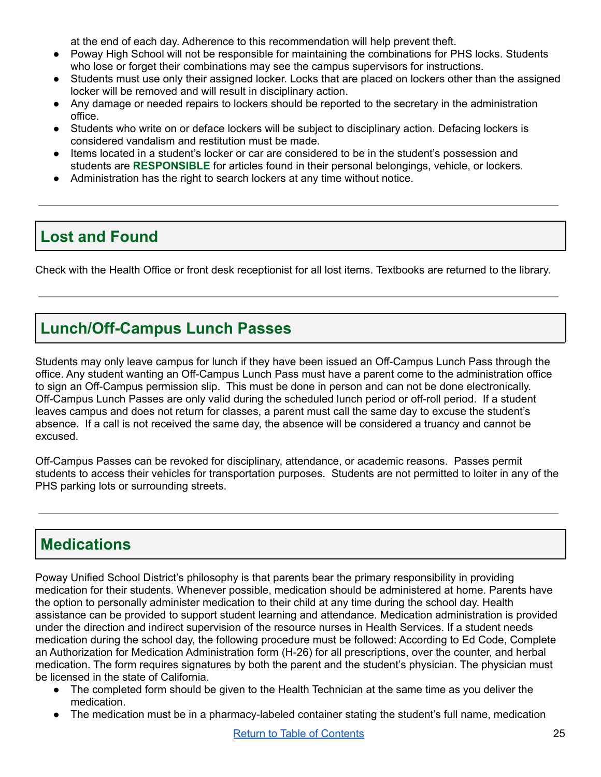at the end of each day. Adherence to this recommendation will help prevent theft.

- Poway High School will not be responsible for maintaining the combinations for PHS locks. Students who lose or forget their combinations may see the campus supervisors for instructions.
- Students must use only their assigned locker. Locks that are placed on lockers other than the assigned locker will be removed and will result in disciplinary action.
- Any damage or needed repairs to lockers should be reported to the secretary in the administration office.
- Students who write on or deface lockers will be subject to disciplinary action. Defacing lockers is considered vandalism and restitution must be made.
- Items located in a student's locker or car are considered to be in the student's possession and students are **RESPONSIBLE** for articles found in their personal belongings, vehicle, or lockers.
- Administration has the right to search lockers at any time without notice.

### <span id="page-25-0"></span>**Lost and Found**

Check with the Health Office or front desk receptionist for all lost items. Textbooks are returned to the library.

# <span id="page-25-1"></span>**Lunch/Off-Campus Lunch Passes**

Students may only leave campus for lunch if they have been issued an Off-Campus Lunch Pass through the office. Any student wanting an Off-Campus Lunch Pass must have a parent come to the administration office to sign an Off-Campus permission slip. This must be done in person and can not be done electronically. Off-Campus Lunch Passes are only valid during the scheduled lunch period or off-roll period. If a student leaves campus and does not return for classes, a parent must call the same day to excuse the student's absence. If a call is not received the same day, the absence will be considered a truancy and cannot be excused.

Off-Campus Passes can be revoked for disciplinary, attendance, or academic reasons. Passes permit students to access their vehicles for transportation purposes. Students are not permitted to loiter in any of the PHS parking lots or surrounding streets.

### <span id="page-25-2"></span>**Medications**

Poway Unified School District's philosophy is that parents bear the primary responsibility in providing medication for their students. Whenever possible, medication should be administered at home. Parents have the option to personally administer medication to their child at any time during the school day. Health assistance can be provided to support student learning and attendance. Medication administration is provided under the direction and indirect supervision of the resource nurses in Health Services. If a student needs medication during the school day, the following procedure must be followed: According to Ed Code, Complete an Authorization for Medication Administration form (H-26) for all prescriptions, over the counter, and herbal medication. The form requires signatures by both the parent and the student's physician. The physician must be licensed in the state of California.

- The completed form should be given to the Health Technician at the same time as you deliver the medication.
- The medication must be in a pharmacy-labeled container stating the student's full name, medication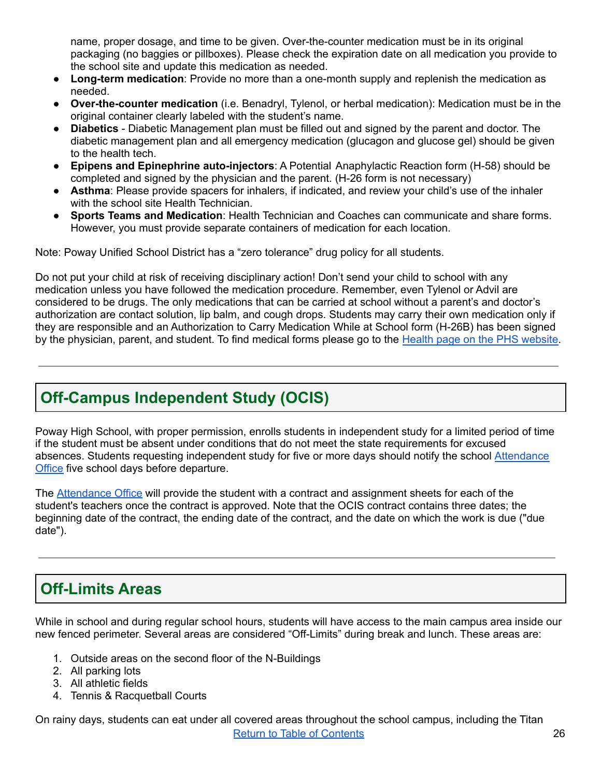name, proper dosage, and time to be given. Over-the-counter medication must be in its original packaging (no baggies or pillboxes). Please check the expiration date on all medication you provide to the school site and update this medication as needed.

- **Long-term medication**: Provide no more than a one-month supply and replenish the medication as needed.
- **Over-the-counter medication** (i.e. Benadryl, Tylenol, or herbal medication): Medication must be in the original container clearly labeled with the student's name.
- **Diabetics** Diabetic Management plan must be filled out and signed by the parent and doctor. The diabetic management plan and all emergency medication (glucagon and glucose gel) should be given to the health tech.
- **Epipens and Epinephrine auto-injectors**: A Potential Anaphylactic Reaction form (H-58) should be completed and signed by the physician and the parent. (H-26 form is not necessary)
- **Asthma**: Please provide spacers for inhalers, if indicated, and review your child's use of the inhaler with the school site Health Technician.
- **Sports Teams and Medication**: Health Technician and Coaches can communicate and share forms. However, you must provide separate containers of medication for each location.

Note: Poway Unified School District has a "zero tolerance" drug policy for all students.

Do not put your child at risk of receiving disciplinary action! Don't send your child to school with any medication unless you have followed the medication procedure. Remember, even Tylenol or Advil are considered to be drugs. The only medications that can be carried at school without a parent's and doctor's authorization are contact solution, lip balm, and cough drops. Students may carry their own medication only if they are responsible and an Authorization to Carry Medication While at School form (H-26B) has been signed by the physician, parent, and student. To find medical forms please go to the Health page on the PHS [website.](https://www.powayusd.com/en-US/Schools/HS/PHS/Contacts/Health)

### <span id="page-26-0"></span>**Off-Campus Independent Study (OCIS)**

Poway High School, with proper permission, enrolls students in independent study for a limited period of time if the student must be absent under conditions that do not meet the state requirements for excused absences. Students requesting independent study for five or more days should notify the school [Attendance](https://www.powayusd.com/en-US/Schools/HS/PHS/Contacts/Attendance/Attendance) [Office](https://www.powayusd.com/en-US/Schools/HS/PHS/Contacts/Attendance/Attendance) five school days before departure.

The [Attendance](https://www.powayusd.com/en-US/Schools/HS/PHS/Contacts/Attendance/Attendance) Office will provide the student with a contract and assignment sheets for each of the student's teachers once the contract is approved. Note that the OCIS contract contains three dates; the beginning date of the contract, the ending date of the contract, and the date on which the work is due ("due date").

# <span id="page-26-1"></span>**Off-Limits Areas**

While in school and during regular school hours, students will have access to the main campus area inside our new fenced perimeter. Several areas are considered "Off-Limits" during break and lunch. These areas are:

- 1. Outside areas on the second floor of the N-Buildings
- 2. All parking lots
- 3. All athletic fields
- 4. Tennis & Racquetball Courts

On rainy days, students can eat under all covered areas throughout the school campus, including the Titan Return to Table of [Contents](#page-1-0) **26**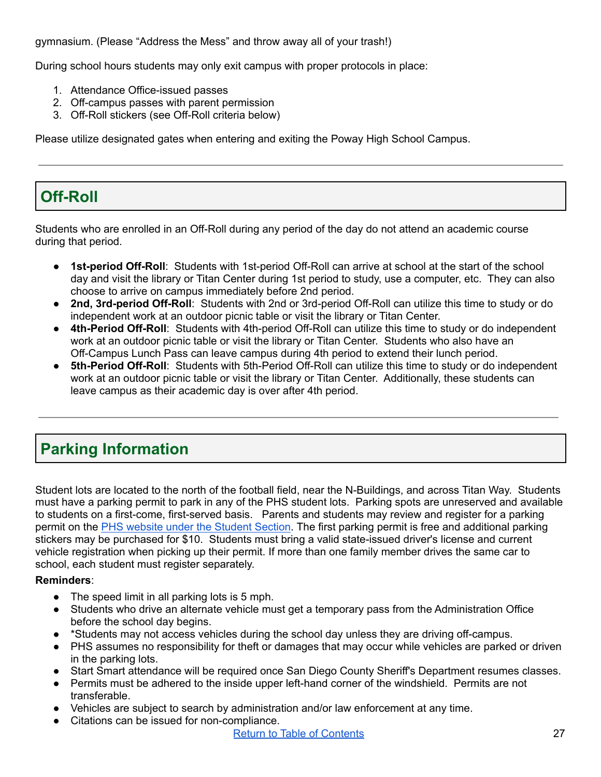gymnasium. (Please "Address the Mess" and throw away all of your trash!)

During school hours students may only exit campus with proper protocols in place:

- 1. Attendance Office-issued passes
- 2. Off-campus passes with parent permission
- 3. Off-Roll stickers (see Off-Roll criteria below)

Please utilize designated gates when entering and exiting the Poway High School Campus.

# <span id="page-27-1"></span>**Off-Roll**

Students who are enrolled in an Off-Roll during any period of the day do not attend an academic course during that period.

- **1st-period Off-Roll**: Students with 1st-period Off-Roll can arrive at school at the start of the school day and visit the library or Titan Center during 1st period to study, use a computer, etc. They can also choose to arrive on campus immediately before 2nd period.
- **2nd, 3rd-period Off-Roll**: Students with 2nd or 3rd-period Off-Roll can utilize this time to study or do independent work at an outdoor picnic table or visit the library or Titan Center.
- **4th-Period Off-Roll**: Students with 4th-period Off-Roll can utilize this time to study or do independent work at an outdoor picnic table or visit the library or Titan Center. Students who also have an Off-Campus Lunch Pass can leave campus during 4th period to extend their lunch period.
- **5th-Period Off-Roll**: Students with 5th-Period Off-Roll can utilize this time to study or do independent work at an outdoor picnic table or visit the library or Titan Center. Additionally, these students can leave campus as their academic day is over after 4th period.

# <span id="page-27-0"></span>**Parking Information**

Student lots are located to the north of the football field, near the N-Buildings, and across Titan Way. Students must have a parking permit to park in any of the PHS student lots. Parking spots are unreserved and available to students on a first-come, first-served basis. Parents and students may review and register for a parking permit on the PHS website under the [Student](https://www.powayusd.com/en-US/Schools/HS/PHS/Students/Parking-Information) Section. The first parking permit is free and additional parking stickers may be purchased for \$10. Students must bring a valid state-issued driver's license and current vehicle registration when picking up their permit. If more than one family member drives the same car to school, each student must register separately.

### **Reminders**:

- The speed limit in all parking lots is 5 mph.
- Students who drive an alternate vehicle must get a temporary pass from the Administration Office before the school day begins.
- \*Students may not access vehicles during the school day unless they are driving off-campus.
- PHS assumes no responsibility for theft or damages that may occur while vehicles are parked or driven in the parking lots.
- Start Smart attendance will be required once San Diego County Sheriff's Department resumes classes.
- Permits must be adhered to the inside upper left-hand corner of the windshield. Permits are not transferable.
- Vehicles are subject to search by administration and/or law enforcement at any time.
- Citations can be issued for non-compliance.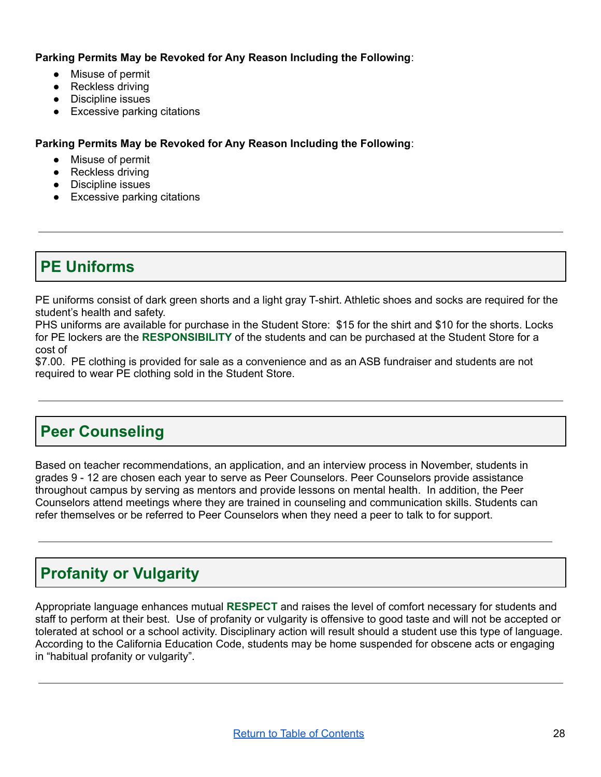**Parking Permits May be Revoked for Any Reason Including the Following**:

- Misuse of permit
- Reckless driving
- Discipline issues
- Excessive parking citations

**Parking Permits May be Revoked for Any Reason Including the Following**:

- Misuse of permit
- Reckless driving
- Discipline issues
- Excessive parking citations

### <span id="page-28-0"></span>**PE Uniforms**

PE uniforms consist of dark green shorts and a light gray T-shirt. Athletic shoes and socks are required for the student's health and safety.

PHS uniforms are available for purchase in the Student Store: \$15 for the shirt and \$10 for the shorts. Locks for PE lockers are the **RESPONSIBILITY** of the students and can be purchased at the Student Store for a cost of

\$7.00. PE clothing is provided for sale as a convenience and as an ASB fundraiser and students are not required to wear PE clothing sold in the Student Store.

### <span id="page-28-1"></span>**Peer Counseling**

Based on teacher recommendations, an application, and an interview process in November, students in grades 9 - 12 are chosen each year to serve as Peer Counselors. Peer Counselors provide assistance throughout campus by serving as mentors and provide lessons on mental health. In addition, the Peer Counselors attend meetings where they are trained in counseling and communication skills. Students can refer themselves or be referred to Peer Counselors when they need a peer to talk to for support.

# <span id="page-28-2"></span>**Profanity or Vulgarity**

Appropriate language enhances mutual **RESPECT** and raises the level of comfort necessary for students and staff to perform at their best. Use of profanity or vulgarity is offensive to good taste and will not be accepted or tolerated at school or a school activity. Disciplinary action will result should a student use this type of language. According to the California Education Code, students may be home suspended for obscene acts or engaging in "habitual profanity or vulgarity".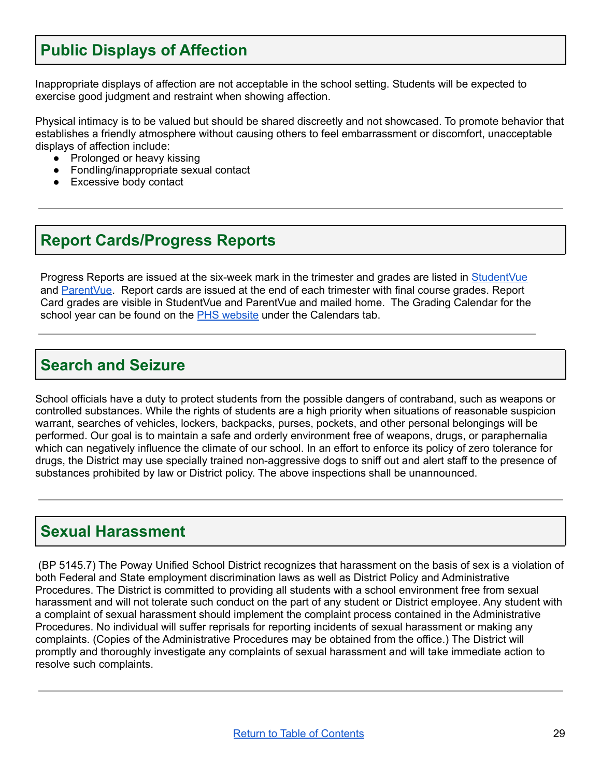### <span id="page-29-0"></span>**Public Displays of Affection**

Inappropriate displays of affection are not acceptable in the school setting. Students will be expected to exercise good judgment and restraint when showing affection.

Physical intimacy is to be valued but should be shared discreetly and not showcased. To promote behavior that establishes a friendly atmosphere without causing others to feel embarrassment or discomfort, unacceptable displays of affection include:

- Prolonged or heavy kissing
- Fondling/inappropriate sexual contact
- **Excessive body contact**

### <span id="page-29-1"></span>**Report Cards/Progress Reports**

Progress Reports are issued at the six-week mark in the trimester and grades are listed in [StudentVue](https://sis.powayusd.com/PXP2_Login_Student.aspx?regenerateSessionId=True) and [ParentVue](https://sis.powayusd.com/PXP2_Login.aspx). Report cards are issued at the end of each trimester with final course grades. Report Card grades are visible in StudentVue and ParentVue and mailed home. The Grading Calendar for the school year can be found on the PHS [website](https://www.powayusd.com/en-US/Schools/HS/PHS/Home) under the Calendars tab.

### <span id="page-29-2"></span>**Search and Seizure**

School officials have a duty to protect students from the possible dangers of contraband, such as weapons or controlled substances. While the rights of students are a high priority when situations of reasonable suspicion warrant, searches of vehicles, lockers, backpacks, purses, pockets, and other personal belongings will be performed. Our goal is to maintain a safe and orderly environment free of weapons, drugs, or paraphernalia which can negatively influence the climate of our school. In an effort to enforce its policy of zero tolerance for drugs, the District may use specially trained non-aggressive dogs to sniff out and alert staff to the presence of substances prohibited by law or District policy. The above inspections shall be unannounced.

### <span id="page-29-3"></span>**Sexual Harassment**

(BP 5145.7) The Poway Unified School District recognizes that harassment on the basis of sex is a violation of both Federal and State employment discrimination laws as well as District Policy and Administrative Procedures. The District is committed to providing all students with a school environment free from sexual harassment and will not tolerate such conduct on the part of any student or District employee. Any student with a complaint of sexual harassment should implement the complaint process contained in the Administrative Procedures. No individual will suffer reprisals for reporting incidents of sexual harassment or making any complaints. (Copies of the Administrative Procedures may be obtained from the office.) The District will promptly and thoroughly investigate any complaints of sexual harassment and will take immediate action to resolve such complaints.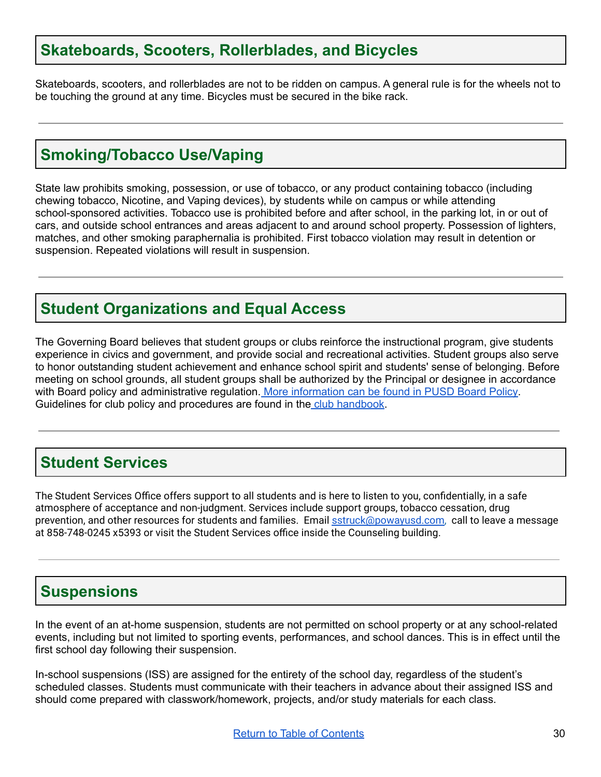### <span id="page-30-0"></span>**Skateboards, Scooters, Rollerblades, and Bicycles**

Skateboards, scooters, and rollerblades are not to be ridden on campus. A general rule is for the wheels not to be touching the ground at any time. Bicycles must be secured in the bike rack.

### <span id="page-30-1"></span>**Smoking/Tobacco Use/Vaping**

State law prohibits smoking, possession, or use of tobacco, or any product containing tobacco (including chewing tobacco, Nicotine, and Vaping devices), by students while on campus or while attending school-sponsored activities. Tobacco use is prohibited before and after school, in the parking lot, in or out of cars, and outside school entrances and areas adjacent to and around school property. Possession of lighters, matches, and other smoking paraphernalia is prohibited. First tobacco violation may result in detention or suspension. Repeated violations will result in suspension.

### <span id="page-30-2"></span>**Student Organizations and Equal Access**

The Governing Board believes that student groups or clubs reinforce the instructional program, give students experience in civics and government, and provide social and recreational activities. Student groups also serve to honor outstanding student achievement and enhance school spirit and students' sense of belonging. Before meeting on school grounds, all student groups shall be authorized by the Principal or designee in accordance with Board policy and administrative regulation. More [information](https://www.powayusd.com/PUSD/media/Board-Images/BoardPolicy/6000/BP-6145-5-Student-Organizations-and-Equal-Access.pdf) can be found in PUSD Board Policy. Guidelines for club policy and procedures are found in the club [handbook.](https://www.powayusd.com/PUSD/media/PHS/PUSD-PHS-ASB-HANDBOOK-8_1.pdf)

### <span id="page-30-3"></span>**Student Services**

The Student Services Office offers support to all students and is here to listen to you, confidentially, in a safe atmosphere of acceptance and non-judgment. Services include support groups, tobacco cessation, drug prevention, and other resources for students and families. Email [sstruck@powayusd.com,](mailto:sstruck@powayusd.com) call to leave a message at 858-748-0245 x5393 or visit the Student Services office inside the Counseling building.

### <span id="page-30-4"></span>**Suspensions**

In the event of an at-home suspension, students are not permitted on school property or at any school-related events, including but not limited to sporting events, performances, and school dances. This is in effect until the first school day following their suspension.

In-school suspensions (ISS) are assigned for the entirety of the school day, regardless of the student's scheduled classes. Students must communicate with their teachers in advance about their assigned ISS and should come prepared with classwork/homework, projects, and/or study materials for each class.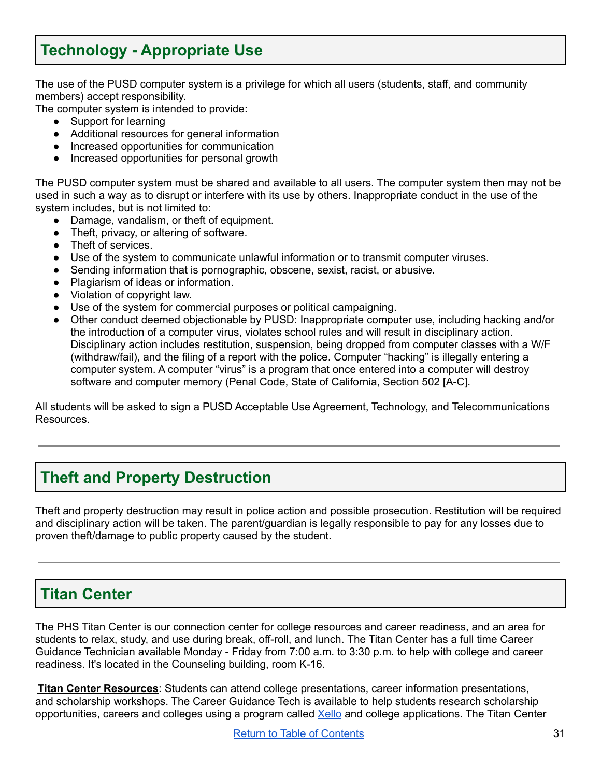# <span id="page-31-0"></span>**Technology - Appropriate Use**

The use of the PUSD computer system is a privilege for which all users (students, staff, and community members) accept responsibility.

The computer system is intended to provide:

- Support for learning
- Additional resources for general information
- Increased opportunities for communication
- Increased opportunities for personal growth

The PUSD computer system must be shared and available to all users. The computer system then may not be used in such a way as to disrupt or interfere with its use by others. Inappropriate conduct in the use of the system includes, but is not limited to:

- Damage, vandalism, or theft of equipment.
- Theft, privacy, or altering of software.
- Theft of services.
- Use of the system to communicate unlawful information or to transmit computer viruses.
- Sending information that is pornographic, obscene, sexist, racist, or abusive.
- Plagiarism of ideas or information.
- Violation of copyright law.
- Use of the system for commercial purposes or political campaigning.
- Other conduct deemed objectionable by PUSD: Inappropriate computer use, including hacking and/or the introduction of a computer virus, violates school rules and will result in disciplinary action. Disciplinary action includes restitution, suspension, being dropped from computer classes with a W/F (withdraw/fail), and the filing of a report with the police. Computer "hacking" is illegally entering a computer system. A computer "virus" is a program that once entered into a computer will destroy software and computer memory (Penal Code, State of California, Section 502 [A-C].

All students will be asked to sign a PUSD Acceptable Use Agreement, Technology, and Telecommunications Resources.

### <span id="page-31-1"></span>**Theft and Property Destruction**

Theft and property destruction may result in police action and possible prosecution. Restitution will be required and disciplinary action will be taken. The parent/guardian is legally responsible to pay for any losses due to proven theft/damage to public property caused by the student.

### <span id="page-31-2"></span>**Titan Center**

The PHS Titan Center is our connection center for college resources and career readiness, and an area for students to relax, study, and use during break, off-roll, and lunch. The Titan Center has a full time Career Guidance Technician available Monday - Friday from 7:00 a.m. to 3:30 p.m. to help with college and career readiness. It's located in the Counseling building, room K-16.

**Titan Center Resources**: Students can attend college presentations, career information presentations, and scholarship workshops. The Career Guidance Tech is available to help students research scholarship opportunities, careers and colleges using a program called [Xello](https://www.powayusd.com/en-US/Schools/HS/PHS/Counseling/Titan-Center-College-Career/College-and-Career-Resources) and college applications. The Titan Center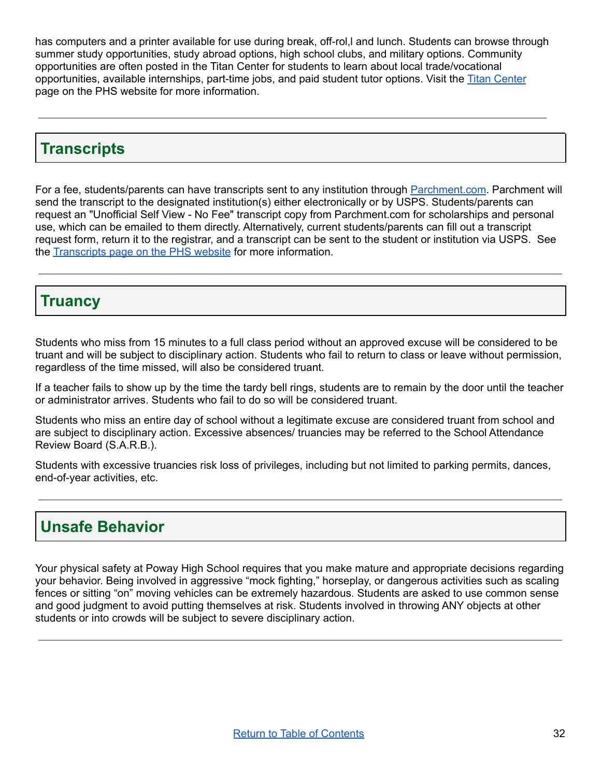has computers and a printer available for use during break, off-rol,l and lunch. Students can browse through summer study opportunities, study abroad options, high school clubs, and military options. Community opportunities are often posted in the Titan Center for students to learn about local trade/vocational opportunities, available internships, part-time jobs, and paid student tutor options. Visit the Titan [Center](https://www.powayusd.com/en-US/Schools/HS/PHS/Counseling/Titan-Center-College-Career/Titan-Center) page on the PHS website for more information.

### <span id="page-32-0"></span>**Transcripts**

For a fee, students/parents can have transcripts sent to any institution through [Parchment.com](http://parchment.com). Parchment will send the transcript to the designated institution(s) either electronically or by USPS. Students/parents can request an "Unofficial Self View - No Fee" transcript copy from Parchment.com for scholarships and personal use, which can be emailed to them directly. Alternatively, current students/parents can fill out a transcript request form, return it to the registrar, and a transcript can be sent to the student or institution via USPS. See the [Transcripts](https://www.powayusd.com/en-US/Schools/HS/PHS/Academics/Transcripts) page on the PHS website for more information.

### <span id="page-32-1"></span>**Truancy**

Students who miss from 15 minutes to a full class period without an approved excuse will be considered to be truant and will be subject to disciplinary action. Students who fail to return to class or leave without permission, regardless of the time missed, will also be considered truant.

If a teacher fails to show up by the time the tardy bell rings, students are to remain by the door until the teacher or administrator arrives. Students who fail to do so will be considered truant.

Students who miss an entire day of school without a legitimate excuse are considered truant from school and are subject to disciplinary action. Excessive absences/ truancies may be referred to the School Attendance Review Board (S.A.R.B.).

Students with excessive truancies risk loss of privileges, including but not limited to parking permits, dances, end-of-year activities, etc.

### <span id="page-32-2"></span>**Unsafe Behavior**

Your physical safety at Poway High School requires that you make mature and appropriate decisions regarding your behavior. Being involved in aggressive "mock fighting," horseplay, or dangerous activities such as scaling fences or sitting "on" moving vehicles can be extremely hazardous. Students are asked to use common sense and good judgment to avoid putting themselves at risk. Students involved in throwing ANY objects at other students or into crowds will be subject to severe disciplinary action.